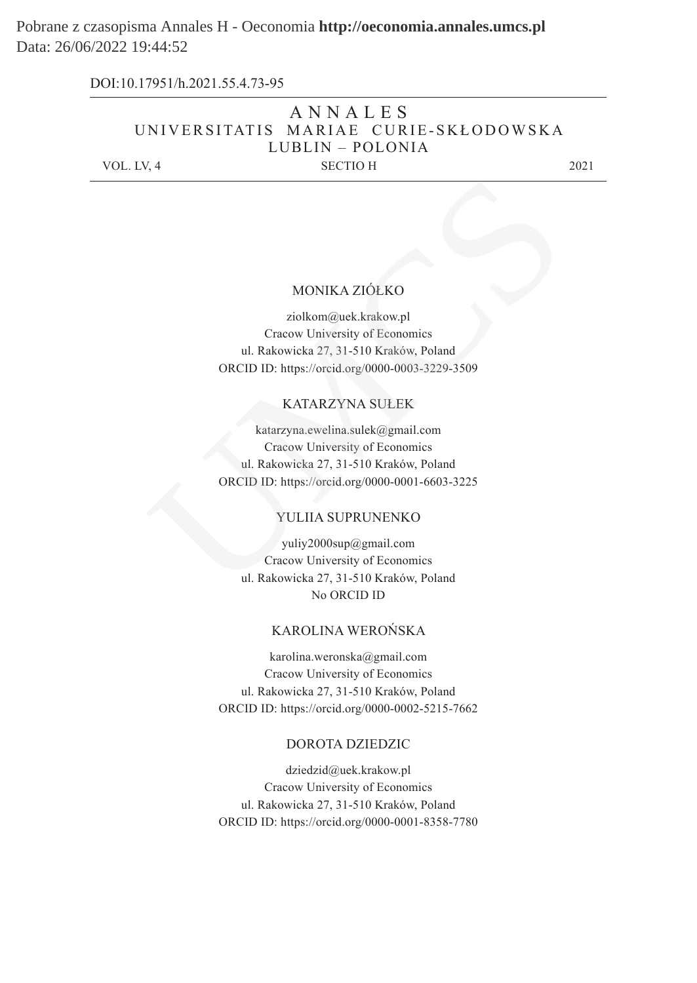# Pobrane z czasopisma Annales H - Oeconomia **http://oeconomia.annales.umcs.pl** Data: 26/06/2022 19:44:52

| DOI:10.17951/h.2021.55.4.73-95 |                  |                                       |      |
|--------------------------------|------------------|---------------------------------------|------|
|                                | ANNALES          |                                       |      |
|                                |                  | UNIVERSITATIS MARIAE CURIE-SKŁODOWSKA |      |
|                                | LUBLIN – POLONIA |                                       |      |
| VOL. LV, 4                     | <b>SECTIO H</b>  |                                       | 2021 |
|                                |                  |                                       |      |

### MONIKA ZIÓŁKO

ziolkom@uek.krakow.pl Cracow University of Economics ul. Rakowicka 27, 31-510 Kraków, Poland ORCID ID: https://orcid.org/0000-0003-3229-3509 MONIKA ZIÓŁKO<br>
ziolkom@uek.krakow.pl<br>
Cracow University of Economics<br>
ul. Rakowicka 27, 31-510 Kraków, Poland<br>
ORCID ID: https://orcid.org/0000-0003-3229-3509<br>
KATARZYNA SUŁEK<br>
katarzyna.ewelina.sulek@gmail.com<br>
Cracow Uni

# KATARZYNA SUŁEK

katarzyna.ewelina.sulek@gmail.com Cracow University of Economics ul. Rakowicka 27, 31-510 Kraków, Poland ORCID ID: https://orcid.org/0000-0001-6603-3225

# YULIIA SUPRUNENKO

yuliy2000sup@gmail.com Cracow University of Economics ul. Rakowicka 27, 31-510 Kraków, Poland No ORCID ID

# KAROLINA WEROŃSKA

karolina.weronska@gmail.com Cracow University of Economics ul. Rakowicka 27, 31-510 Kraków, Poland ORCID ID: https://orcid.org/0000-0002-5215-7662

#### DOROTA DZIEDZIC

dziedzid@uek.krakow.pl Cracow University of Economics ul. Rakowicka 27, 31-510 Kraków, Poland ORCID ID: https://orcid.org/0000-0001-8358-7780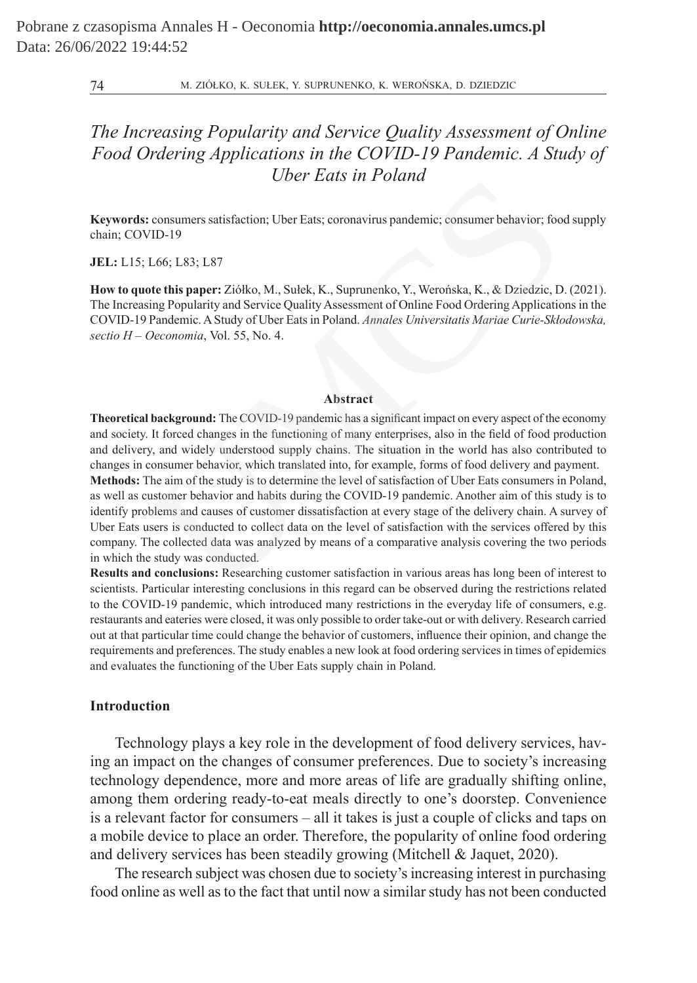# *The Increasing Popularity and Service Quality Assessment of Online Food Ordering Applications in the COVID-19 Pandemic. A Study of Uber Eats in Poland*

**Keywords:** consumers satisfaction; Uber Eats; coronavirus pandemic; consumer behavior; food supply chain; COVID-19

**JEL:** L15; L66; L83; L87

**How to quote this paper:** Ziółko, M., Sułek, K., Suprunenko, Y., Werońska, K., & Dziedzic, D. (2021). The Increasing Popularity and Service Quality Assessment of Online Food Ordering Applications in the COVID-19 Pandemic. AStudy of Uber Eats in Poland. *Annales Universitatis Mariae Curie-Skłodowska, sectio H – Oeconomia*, Vol. 55, No. 4.

#### **Abstract**

**Theoretical background:** The COVID-19 pandemic has a significant impact on every aspect of the economy and society. It forced changes in the functioning of many enterprises, also in the field of food production and delivery, and widely understood supply chains. The situation in the world has also contributed to changes in consumer behavior, which translated into, for example, forms of food delivery and payment.

**Methods:** The aim of the study is to determine the level of satisfaction of Uber Eats consumers in Poland, as well as customer behavior and habits during the COVID-19 pandemic. Another aim of this study is to identify problems and causes of customer dissatisfaction at every stage of the delivery chain. A survey of Uber Eats users is conducted to collect data on the level of satisfaction with the services offered by this company. The collected data was analyzed by means of a comparative analysis covering the two periods in which the study was conducted. **COVID-19**<br>
COVID-19<br>
COVID-19<br>
Let also statisfaction; Uber Eats; coronavirus pandemic; consumer behavior; foo<br>
VID-19<br>
Let this paper: Ziółko, M., Sulek, K., Suprunenko, Y., Werońska, K., & Dziedzic, D<br>
orte this paper:

**Results and conclusions:** Researching customer satisfaction in various areas has long been of interest to scientists. Particular interesting conclusions in this regard can be observed during the restrictions related to the COVID-19 pandemic, which introduced many restrictions in the everyday life of consumers, e.g. restaurants and eateries were closed, it was only possible to order take-out or with delivery. Research carried out at that particular time could change the behavior of customers, influence their opinion, and change the requirements and preferences. The study enables a new look at food ordering services in times of epidemics and evaluates the functioning of the Uber Eats supply chain in Poland.

# **Introduction**

Technology plays a key role in the development of food delivery services, having an impact on the changes of consumer preferences. Due to society's increasing technology dependence, more and more areas of life are gradually shifting online, among them ordering ready-to-eat meals directly to one's doorstep. Convenience is a relevant factor for consumers – all it takes is just a couple of clicks and taps on a mobile device to place an order. Therefore, the popularity of online food ordering and delivery services has been steadily growing (Mitchell & Jaquet, 2020).

The research subject was chosen due to society's increasing interest in purchasing food online as well as to the fact that until now a similar study has not been conducted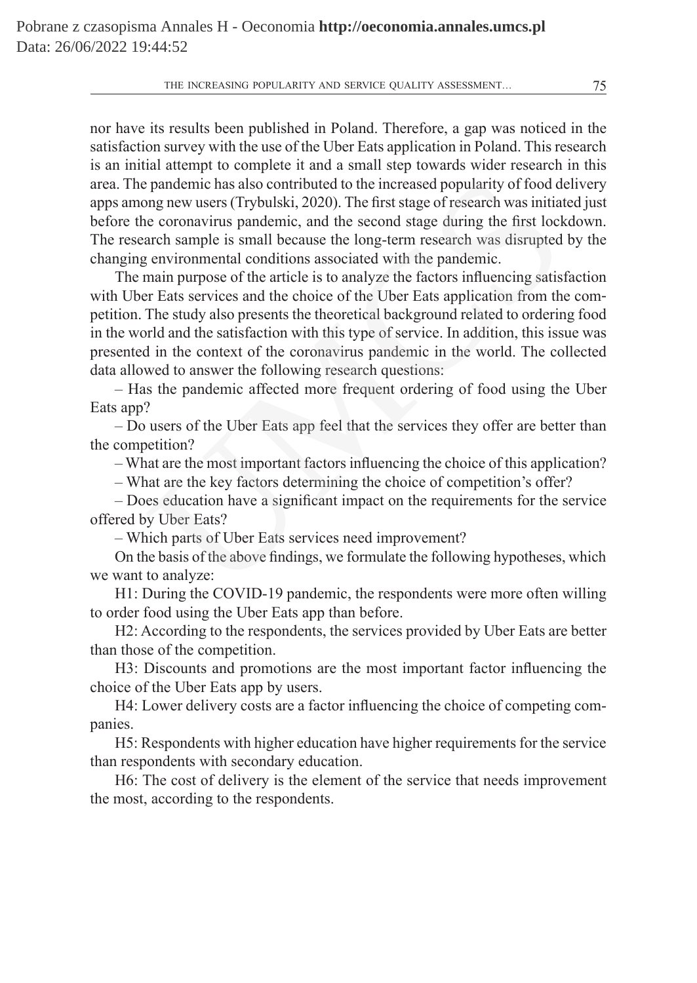nor have its results been published in Poland. Therefore, a gap was noticed in the satisfaction survey with the use of the Uber Eats application in Poland. This research is an initial attempt to complete it and a small step towards wider research in this area. The pandemic has also contributed to the increased popularity of food delivery apps among new users (Trybulski, 2020). The first stage of research was initiated just before the coronavirus pandemic, and the second stage during the first lockdown. The research sample is small because the long-term research was disrupted by the changing environmental conditions associated with the pandemic.

The main purpose of the article is to analyze the factors influencing satisfaction with Uber Eats services and the choice of the Uber Eats application from the competition. The study also presents the theoretical background related to ordering food in the world and the satisfaction with this type of service. In addition, this issue was presented in the context of the coronavirus pandemic in the world. The collected data allowed to answer the following research questions: e pandemic has also contributed to the increased popularity of food dom graw users (Trybulski, 2020). The first stage of research was initiate coronavirus pandemic, and the second stage during the first lock are arch sampl

– Has the pandemic affected more frequent ordering of food using the Uber Eats app?

– Do users of the Uber Eats app feel that the services they offer are better than the competition?

– What are the most important factors influencing the choice of this application?

– What are the key factors determining the choice of competition's offer?

– Does education have a significant impact on the requirements for the service offered by Uber Eats?

– Which parts of Uber Eats services need improvement?

On the basis of the above findings, we formulate the following hypotheses, which we want to analyze:

H1: During the COVID-19 pandemic, the respondents were more often willing to order food using the Uber Eats app than before.

H2: According to the respondents, the services provided by Uber Eats are better than those of the competition.

H3: Discounts and promotions are the most important factor influencing the choice of the Uber Eats app by users.

H4: Lower delivery costs are a factor influencing the choice of competing companies.

H5: Respondents with higher education have higher requirements for the service than respondents with secondary education.

H6: The cost of delivery is the element of the service that needs improvement the most, according to the respondents.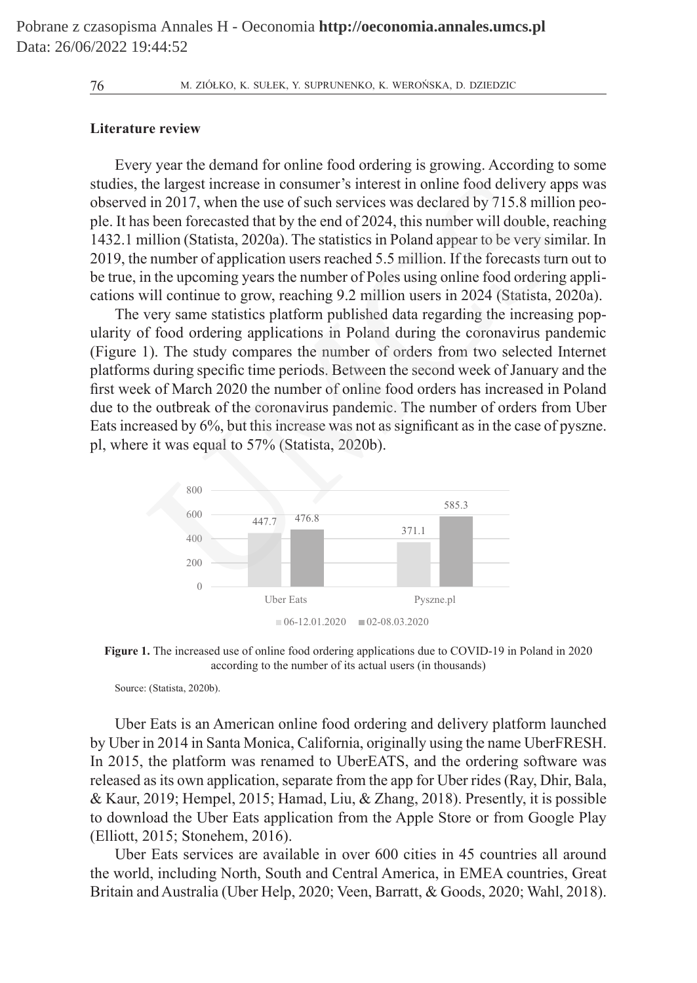# **Literature review**

Every year the demand for online food ordering is growing. According to some studies, the largest increase in consumer's interest in online food delivery apps was observed in 2017, when the use of such services was declared by 715.8 million people. It has been forecasted that by the end of 2024, this number will double, reaching 1432.1 million (Statista, 2020a). The statistics in Poland appear to be very similar. In 2019, the number of application users reached 5.5 million. If the forecasts turn out to be true, in the upcoming years the number of Poles using online food ordering applications will continue to grow, reaching 9.2 million users in 2024 (Statista, 2020a).

The very same statistics platform published data regarding the increasing popularity of food ordering applications in Poland during the coronavirus pandemic (Figure 1). The study compares the number of orders from two selected Internet platforms during specific time periods. Between the second week of January and the first week of March 2020 the number of online food orders has increased in Poland due to the outbreak of the coronavirus pandemic. The number of orders from Uber Eats increased by 6%, but this increase was not as significant as in the case of pyszne. pl, where it was equal to 57% (Statista, 2020b). the largest increase in consumer's interest in online food delivery ap<br>
in 2017, when the use of such services was declared by 715.8 million<br>
is been forecasted that by the end of 2024, this number will double, re<br>
inilio



**Figure 1.** The increased use of online food ordering applications due to COVID-19 in Poland in 2020 according to the number of its actual users (in thousands)

Source: (Statista, 2020b).

Uber Eats is an American online food ordering and delivery platform launched by Uber in 2014 in Santa Monica, California, originally using the name UberFRESH. In 2015, the platform was renamed to UberEATS, and the ordering software was released as its own application, separate from the app for Uber rides (Ray, Dhir, Bala, & Kaur, 2019; Hempel, 2015; Hamad, Liu, & Zhang, 2018). Presently, it is possible to download the Uber Eats application from the Apple Store or from Google Play (Elliott, 2015; Stonehem, 2016).

Uber Eats services are available in over 600 cities in 45 countries all around the world, including North, South and Central America, in EMEA countries, Great Britain and Australia (Uber Help, 2020; Veen, Barratt, & Goods, 2020; Wahl, 2018).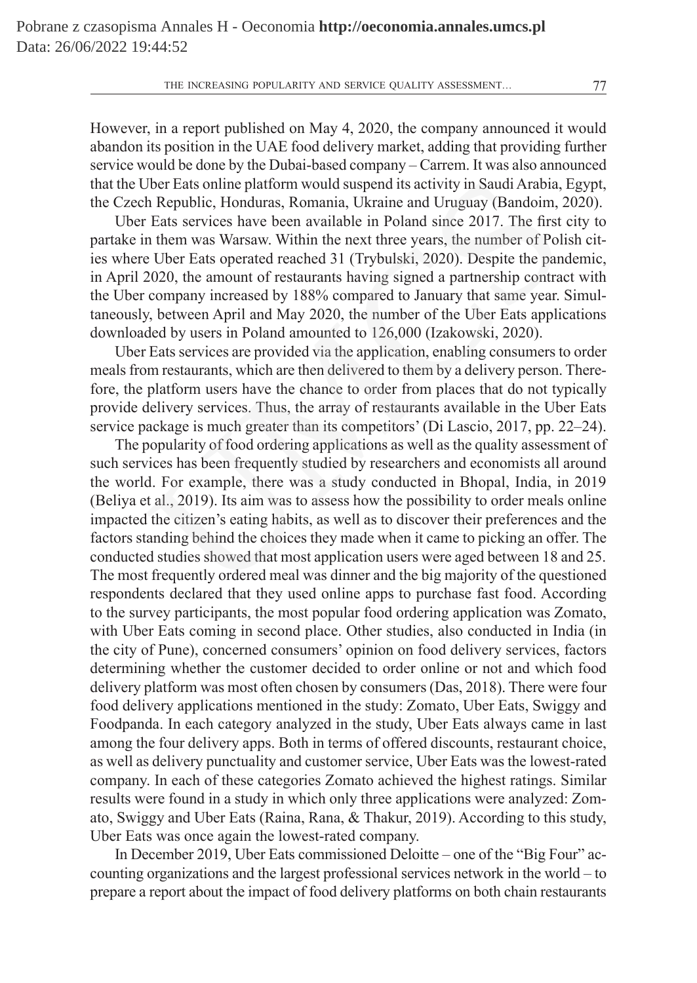However, in a report published on May 4, 2020, the company announced it would abandon its position in the UAE food delivery market, adding that providing further service would be done by the Dubai-based company – Carrem. It was also announced that the Uber Eats online platform would suspend its activity in Saudi Arabia, Egypt, the Czech Republic, Honduras, Romania, Ukraine and Uruguay (Bandoim, 2020).

Uber Eats services have been available in Poland since 2017. The first city to partake in them was Warsaw. Within the next three years, the number of Polish cities where Uber Eats operated reached 31 (Trybulski, 2020). Despite the pandemic, in April 2020, the amount of restaurants having signed a partnership contract with the Uber company increased by 188% compared to January that same year. Simultaneously, between April and May 2020, the number of the Uber Eats applications downloaded by users in Poland amounted to 126,000 (Izakowski, 2020).

Uber Eats services are provided via the application, enabling consumers to order meals from restaurants, which are then delivered to them by a delivery person. Therefore, the platform users have the chance to order from places that do not typically provide delivery services. Thus, the array of restaurants available in the Uber Eats service package is much greater than its competitors' (Di Lascio, 2017, pp. 22–24).

The popularity of food ordering applications as well as the quality assessment of such services has been frequently studied by researchers and economists all around the world. For example, there was a study conducted in Bhopal, India, in 2019 (Beliya et al., 2019). Its aim was to assess how the possibility to order meals online impacted the citizen's eating habits, as well as to discover their preferences and the factors standing behind the choices they made when it came to picking an offer. The conducted studies showed that most application users were aged between 18 and 25. The most frequently ordered meal was dinner and the big majority of the questioned respondents declared that they used online apps to purchase fast food. According to the survey participants, the most popular food ordering application was Zomato, with Uber Eats coming in second place. Other studies, also conducted in India (in the city of Pune), concerned consumers' opinion on food delivery services, factors determining whether the customer decided to order online or not and which food delivery platform was most often chosen by consumers (Das, 2018). There were four food delivery applications mentioned in the study: Zomato, Uber Eats, Swiggy and Foodpanda. In each category analyzed in the study, Uber Eats always came in last among the four delivery apps. Both in terms of offered discounts, restaurant choice, as well as delivery punctuality and customer service, Uber Eats was the lowest-rated company. In each of these categories Zomato achieved the highest ratings. Similar results were found in a study in which only three applications were analyzed: Zomato, Swiggy and Uber Eats (Raina, Rana, & Thakur, 2019). According to this study, Uber Eats was once again the lowest-rated company. Ther Eats online platform would suspend its activity in Saudi Arabia,<br>
Neepublic, Honduras, Romania, Ukraine and Uruguay (Bandoim, *i*<br>
Eats services have been available in Poland since 2017. The first<br>
n them was Warsaw.

In December 2019, Uber Eats commissioned Deloitte – one of the "Big Four" accounting organizations and the largest professional services network in the world – to prepare a report about the impact of food delivery platforms on both chain restaurants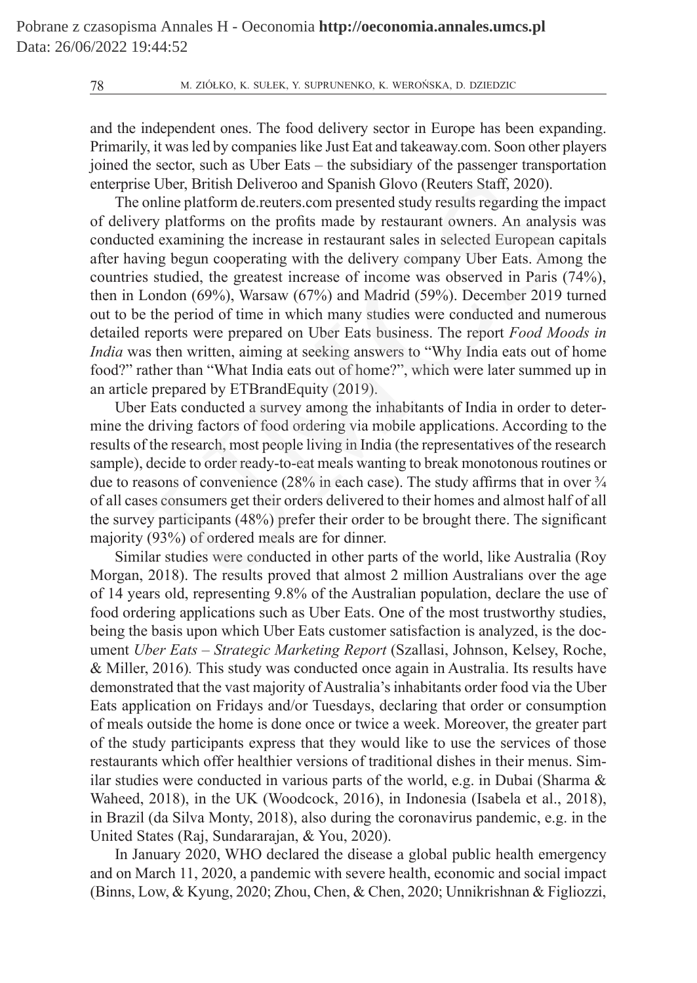and the independent ones. The food delivery sector in Europe has been expanding. Primarily, it was led by companies like Just Eat and takeaway.com. Soon other players joined the sector, such as Uber Eats – the subsidiary of the passenger transportation enterprise Uber, British Deliveroo and Spanish Glovo (Reuters Staff, 2020).

The online platform de.reuters.com presented study results regarding the impact of delivery platforms on the profits made by restaurant owners. An analysis was conducted examining the increase in restaurant sales in selected European capitals after having begun cooperating with the delivery company Uber Eats. Among the countries studied, the greatest increase of income was observed in Paris (74%), then in London (69%), Warsaw (67%) and Madrid (59%). December 2019 turned out to be the period of time in which many studies were conducted and numerous detailed reports were prepared on Uber Eats business. The report *Food Moods in India* was then written, aiming at seeking answers to "Why India eats out of home food?" rather than "What India eats out of home?", which were later summed up in an article prepared by ETBrandEquity (2019). e Uber, British Deliveroo and Spanish Glovo (Reuters Staff, 2020).<br>
by platform de reuters.com presented study results regarding the<br>
ry platforms on the profits made by restaurant owners. An analys<br>
de examining the incre

Uber Eats conducted a survey among the inhabitants of India in order to determine the driving factors of food ordering via mobile applications. According to the results of the research, most people living in India (the representatives of the research sample), decide to order ready-to-eat meals wanting to break monotonous routines or due to reasons of convenience (28% in each case). The study affirms that in over  $\frac{3}{4}$ of all cases consumers get their orders delivered to their homes and almost half of all the survey participants (48%) prefer their order to be brought there. The significant majority (93%) of ordered meals are for dinner.

Similar studies were conducted in other parts of the world, like Australia (Roy Morgan, 2018). The results proved that almost 2 million Australians over the age of 14 years old, representing 9.8% of the Australian population, declare the use of food ordering applications such as Uber Eats. One of the most trustworthy studies, being the basis upon which Uber Eats customer satisfaction is analyzed, is the document *Uber Eats – Strategic Marketing Report* (Szallasi, Johnson, Kelsey, Roche, & Miller, 2016)*.* This study was conducted once again in Australia. Its results have demonstrated that the vast majority of Australia's inhabitants order food via the Uber Eats application on Fridays and/or Tuesdays, declaring that order or consumption of meals outside the home is done once or twice a week. Moreover, the greater part of the study participants express that they would like to use the services of those restaurants which offer healthier versions of traditional dishes in their menus. Similar studies were conducted in various parts of the world, e.g. in Dubai (Sharma  $\&$ Waheed, 2018), in the UK (Woodcock, 2016), in Indonesia (Isabela et al., 2018), in Brazil (da Silva Monty, 2018), also during the coronavirus pandemic, e.g. in the United States (Raj, Sundararajan, & You, 2020).

In January 2020, WHO declared the disease a global public health emergency and on March 11, 2020, a pandemic with severe health, economic and social impact (Binns, Low, & Kyung, 2020; Zhou, Chen, & Chen, 2020; Unnikrishnan & Figliozzi,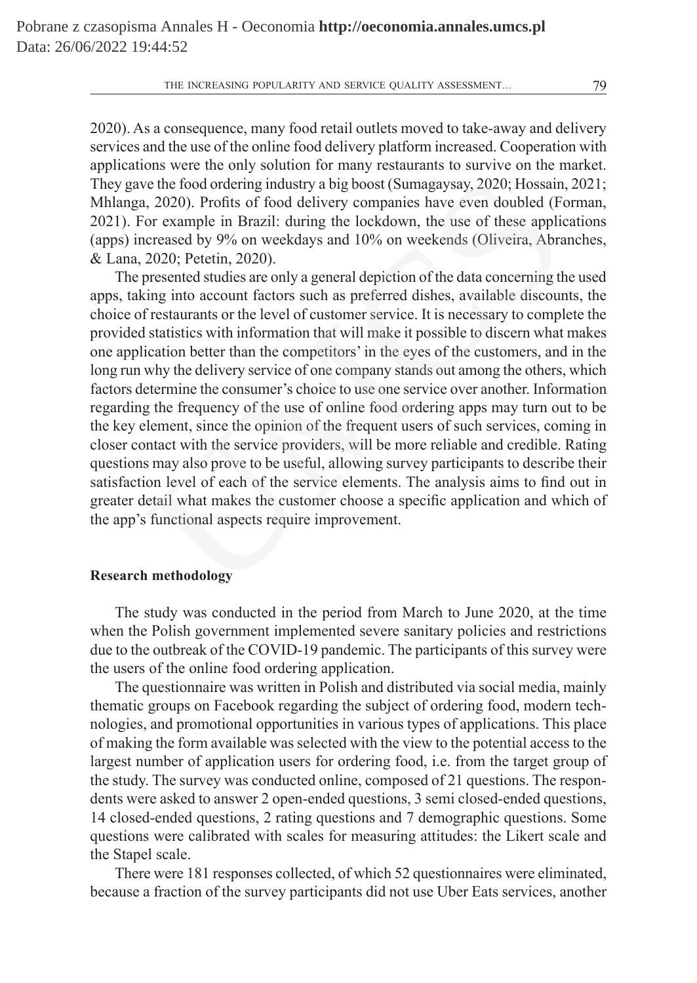2020). As a consequence, many food retail outlets moved to take-away and delivery services and the use of the online food delivery platform increased. Cooperation with applications were the only solution for many restaurants to survive on the market. They gave the food ordering industry a big boost (Sumagaysay, 2020; Hossain, 2021; Mhlanga, 2020). Profits of food delivery companies have even doubled (Forman, 2021). For example in Brazil: during the lockdown, the use of these applications (apps) increased by 9% on weekdays and 10% on weekends (Oliveira, Abranches, & Lana, 2020; Petetin, 2020).

The presented studies are only a general depiction of the data concerning the used apps, taking into account factors such as preferred dishes, available discounts, the choice of restaurants or the level of customer service. It is necessary to complete the provided statistics with information that will make it possible to discern what makes one application better than the competitors' in the eyes of the customers, and in the long run why the delivery service of one company stands out among the others, which factors determine the consumer's choice to use one service over another. Information regarding the frequency of the use of online food ordering apps may turn out to be the key element, since the opinion of the frequent users of such services, coming in closer contact with the service providers, will be more reliable and credible. Rating questions may also prove to be useful, allowing survey participants to describe their satisfaction level of each of the service elements. The analysis aims to find out in greater detail what makes the customer choose a specific application and which of the app's functional aspects require improvement. ve the food ordering industry a big boost (Sumagaysay, 2020; Hossain, 2020). Profits of food delivery companies have even doubled (For example in Brazil: during the lockdown, the use of these applies or example in Brazil:

# **Research methodology**

The study was conducted in the period from March to June 2020, at the time when the Polish government implemented severe sanitary policies and restrictions due to the outbreak of the COVID-19 pandemic. The participants of this survey were the users of the online food ordering application.

The questionnaire was written in Polish and distributed via social media, mainly thematic groups on Facebook regarding the subject of ordering food, modern technologies, and promotional opportunities in various types of applications. This place of making the form available was selected with the view to the potential access to the largest number of application users for ordering food, i.e. from the target group of the study. The survey was conducted online, composed of 21 questions. The respondents were asked to answer 2 open-ended questions, 3 semi closed-ended questions, 14 closed-ended questions, 2 rating questions and 7 demographic questions. Some questions were calibrated with scales for measuring attitudes: the Likert scale and the Stapel scale.

There were 181 responses collected, of which 52 questionnaires were eliminated, because a fraction of the survey participants did not use Uber Eats services, another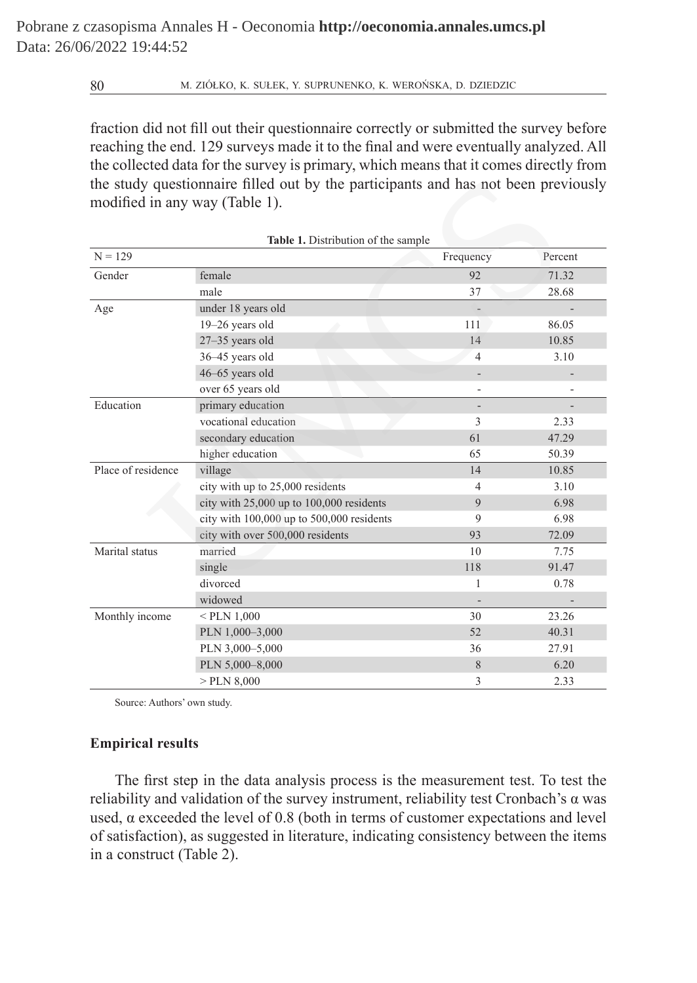fraction did not fill out their questionnaire correctly or submitted the survey before reaching the end. 129 surveys made it to the final and were eventually analyzed. All the collected data for the survey is primary, which means that it comes directly from the study questionnaire filled out by the participants and has not been previously modified in any way (Table 1).

|                    | Table 1. Distribution of the sample       |                          |         |
|--------------------|-------------------------------------------|--------------------------|---------|
| $N = 129$          |                                           | Frequency                | Percent |
| Gender             | female                                    | 92                       | 71.32   |
|                    | male                                      | 37                       | 28.68   |
| Age                | under 18 years old                        |                          |         |
|                    | 19-26 years old                           | 111                      | 86.05   |
|                    | 27-35 years old                           | 14                       | 10.85   |
|                    | 36-45 years old                           | $\overline{4}$           | 3.10    |
|                    | 46-65 years old                           |                          |         |
|                    | over 65 years old                         | $\overline{\phantom{0}}$ |         |
| Education          | primary education                         |                          |         |
|                    | vocational education                      | 3                        | 2.33    |
|                    | secondary education                       | 61                       | 47.29   |
|                    | higher education                          | 65                       | 50.39   |
| Place of residence | village                                   | 14                       | 10.85   |
|                    | city with up to 25,000 residents          | $\overline{4}$           | 3.10    |
|                    | city with 25,000 up to 100,000 residents  | 9                        | 6.98    |
|                    | city with 100,000 up to 500,000 residents | 9                        | 6.98    |
|                    | city with over 500,000 residents          | 93                       | 72.09   |
| Marital status     | married                                   | 10                       | 7.75    |
|                    | single                                    | 118                      | 91.47   |
|                    | divorced                                  | 1                        | 0.78    |
|                    | widowed                                   |                          |         |
| Monthly income     | $<$ PLN 1,000                             | 30                       | 23.26   |
|                    | PLN 1,000-3,000                           | 52                       | 40.31   |
|                    | PLN 3,000-5,000                           | 36                       | 27.91   |
|                    | PLN 5,000-8,000                           | 8                        | 6.20    |
|                    | $>$ PLN 8,000                             | 3                        | 2.33    |

Source: Authors' own study.

# **Empirical results**

The first step in the data analysis process is the measurement test. To test the reliability and validation of the survey instrument, reliability test Cronbach's α was used,  $\alpha$  exceeded the level of 0.8 (both in terms of customer expectations and level of satisfaction), as suggested in literature, indicating consistency between the items in a construct (Table 2).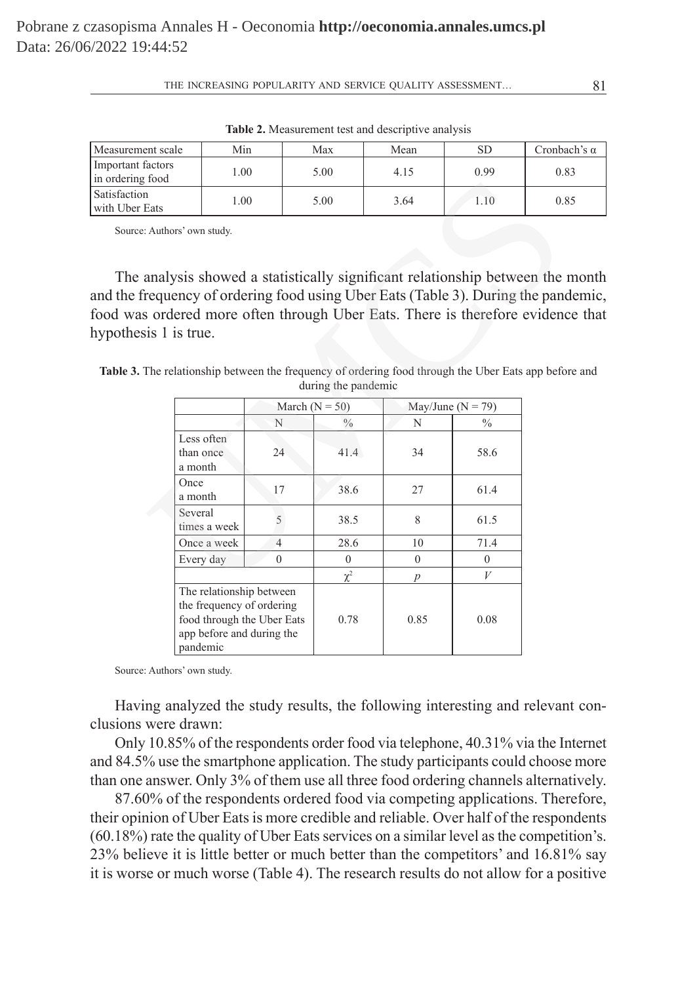| Measurement scale                     | Min  | Max  | Mean | SD   | Cronbach's $\alpha$ |
|---------------------------------------|------|------|------|------|---------------------|
| Important factors<br>in ordering food | 1.00 | 5.00 | 4.15 | 0.99 | 0.83                |
| <b>Satisfaction</b><br>with Uber Eats | 1.00 | 5.00 | 3.64 | 1.10 | 0.85                |

**Table 2.** Measurement test and descriptive analysis

Source: Authors' own study.

The analysis showed a statistically significant relationship between the month and the frequency of ordering food using Uber Eats (Table 3). During the pandemic, food was ordered more often through Uber Eats. There is therefore evidence that hypothesis 1 is true.

**Table 3.** The relationship between the frequency of ordering food through the Uber Eats app before and during the pandemic

| tood                  |                                                                                                                              |                |                                     |                  |                                                                                                                                                                                                                                                                                                              |    |
|-----------------------|------------------------------------------------------------------------------------------------------------------------------|----------------|-------------------------------------|------------------|--------------------------------------------------------------------------------------------------------------------------------------------------------------------------------------------------------------------------------------------------------------------------------------------------------------|----|
| Eats                  | 1.00                                                                                                                         |                | 5.00                                | 3.64             | 1.10                                                                                                                                                                                                                                                                                                         | 0. |
| : Authors' own study. |                                                                                                                              |                |                                     |                  |                                                                                                                                                                                                                                                                                                              |    |
|                       |                                                                                                                              |                |                                     |                  |                                                                                                                                                                                                                                                                                                              |    |
| sis 1 is true.        |                                                                                                                              |                |                                     |                  | analysis showed a statistically significant relationship between the<br>requency of ordering food using Uber Eats (Table 3). During the pan<br>s ordered more often through Uber Eats. There is therefore eviden<br>The relationship between the frequency of ordering food through the Uber Eats app before |    |
|                       |                                                                                                                              |                | during the pandemic                 |                  |                                                                                                                                                                                                                                                                                                              |    |
|                       |                                                                                                                              | N              | March ( $N = 50$ )<br>$\frac{0}{0}$ | N                | May/June ( $N = 79$ )                                                                                                                                                                                                                                                                                        |    |
| than once<br>a month  | Less often                                                                                                                   | 24             | 41.4                                | 34               | $\frac{0}{0}$<br>58.6                                                                                                                                                                                                                                                                                        |    |
| Once<br>a month       |                                                                                                                              | 17             | 38.6                                | 27               | 61.4                                                                                                                                                                                                                                                                                                         |    |
| Several               | times a week                                                                                                                 | 5              | 38.5                                | 8                | 61.5                                                                                                                                                                                                                                                                                                         |    |
|                       | Once a week                                                                                                                  | $\overline{4}$ | 28.6                                | 10               | 71.4                                                                                                                                                                                                                                                                                                         |    |
| Every day             |                                                                                                                              | $\overline{0}$ | $\theta$                            | $\mathbf{0}$     | $\theta$                                                                                                                                                                                                                                                                                                     |    |
|                       |                                                                                                                              |                | $\chi^2$                            | $\boldsymbol{p}$ | V                                                                                                                                                                                                                                                                                                            |    |
|                       | The relationship between<br>the frequency of ordering<br>food through the Uber Eats<br>app before and during the<br>pandemic |                |                                     | 0.85             | 0.08                                                                                                                                                                                                                                                                                                         |    |

Source: Authors' own study.

Having analyzed the study results, the following interesting and relevant conclusions were drawn:

Only 10.85% of the respondents order food via telephone, 40.31% via the Internet and 84.5% use the smartphone application. The study participants could choose more than one answer. Only 3% of them use all three food ordering channels alternatively.

87.60% of the respondents ordered food via competing applications. Therefore, their opinion of Uber Eats is more credible and reliable. Over half of the respondents (60.18%) rate the quality of Uber Eats services on a similar level as the competition's. 23% believe it is little better or much better than the competitors' and 16.81% say it is worse or much worse (Table 4). The research results do not allow for a positive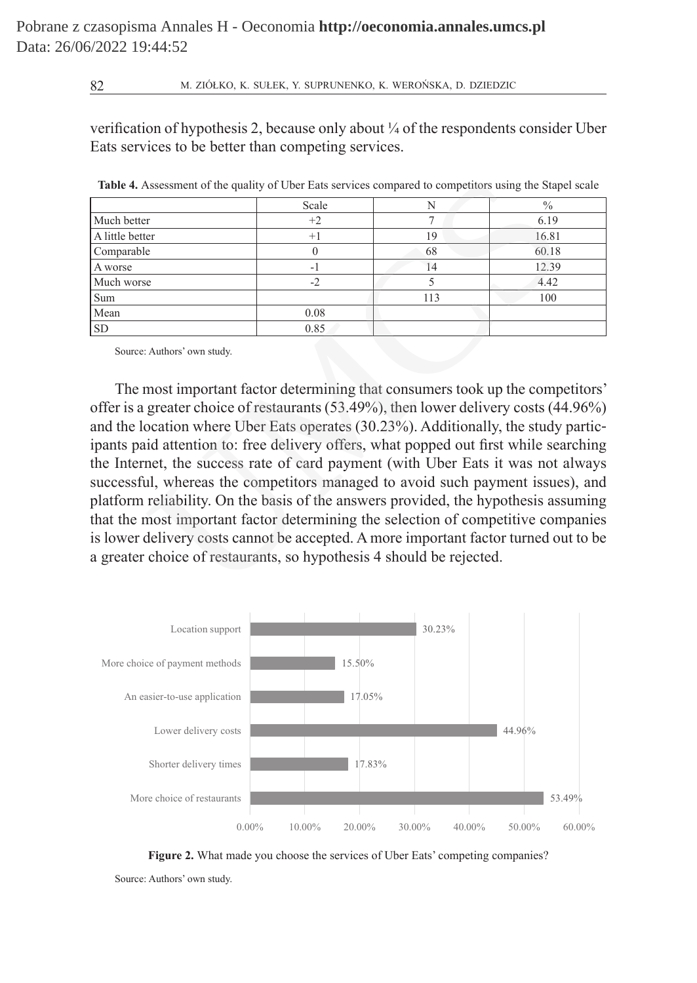verification of hypothesis 2, because only about ¼ of the respondents consider Uber Eats services to be better than competing services.

|                 | Scale | N   | $\%$  |
|-----------------|-------|-----|-------|
| Much better     | $+2$  |     | 6.19  |
| A little better | $+1$  | 19  | 16.81 |
| Comparable      |       | 68  | 60.18 |
| A worse         | - 1   | 14  | 12.39 |
| Much worse      | $-2$  |     | 4.42  |
| Sum             |       | 113 | 100   |
| Mean            | 0.08  |     |       |
| <b>SD</b>       | 0.85  |     |       |

**Table 4.** Assessment of the quality of Uber Eats services compared to competitors using the Stapel scale

Source: Authors' own study.

The most important factor determining that consumers took up the competitors' offer is a greater choice of restaurants (53.49%), then lower delivery costs (44.96%) and the location where Uber Eats operates (30.23%). Additionally, the study participants paid attention to: free delivery offers, what popped out first while searching the Internet, the success rate of card payment (with Uber Eats it was not always successful, whereas the competitors managed to avoid such payment issues), and platform reliability. On the basis of the answers provided, the hypothesis assuming that the most important factor determining the selection of competitive companies is lower delivery costs cannot be accepted. A more important factor turned out to be a greater choice of restaurants, so hypothesis 4 should be rejected. Assessment of the quality of Uber Eats services compared to competitors using the Stap<br>
Scale<br>
The Contract Control of the Control of the Control of the Control of the Control of the Control of the Control of the Control o



Figure 2. What made you choose the services of Uber Eats' competing companies?

Source: Authors' own study.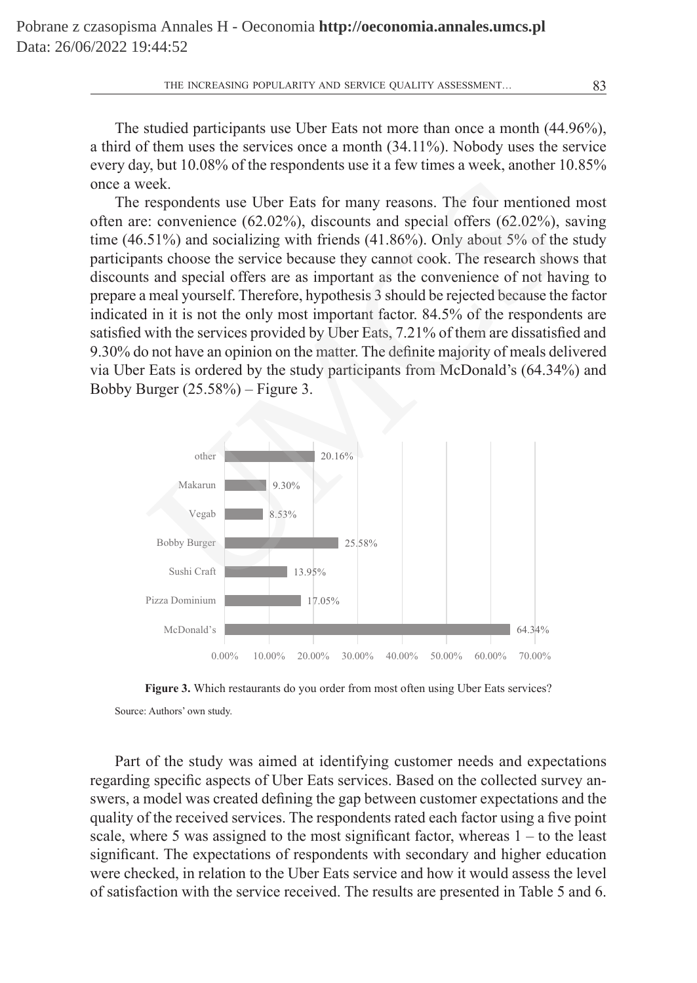The studied participants use Uber Eats not more than once a month (44.96%), a third of them uses the services once a month (34.11%). Nobody uses the service every day, but 10.08% of the respondents use it a few times a week, another 10.85% once a week.

The respondents use Uber Eats for many reasons. The four mentioned most often are: convenience (62.02%), discounts and special offers (62.02%), saving time  $(46.51\%)$  and socializing with friends  $(41.86\%)$ . Only about 5% of the study participants choose the service because they cannot cook. The research shows that discounts and special offers are as important as the convenience of not having to prepare a meal yourself. Therefore, hypothesis 3 should be rejected because the factor indicated in it is not the only most important factor. 84.5% of the respondents are satisfied with the services provided by Uber Eats, 7.21% of them are dissatisfied and 9.30% do not have an opinion on the matter. The definite majority of meals delivered via Uber Eats is ordered by the study participants from McDonald's (64.34%) and Bobby Burger (25.58%) – Figure 3. eek.<br>
eek.<br>
eek.<br>
eek.<br>
eekondents use Uber Eats for many reasons. The four mentione<br>
eek.<br>
5.1%) and socializing with friends (41.86%). Only about 5% of the<br>
nts choose the service because they cannot cook. The research s



**Figure 3.** Which restaurants do you order from most often using Uber Eats services? Source: Authors' own study.

Part of the study was aimed at identifying customer needs and expectations regarding specific aspects of Uber Eats services. Based on the collected survey answers, a model was created defining the gap between customer expectations and the quality of the received services. The respondents rated each factor using a five point scale, where 5 was assigned to the most significant factor, whereas  $1 -$  to the least significant. The expectations of respondents with secondary and higher education were checked, in relation to the Uber Eats service and how it would assess the level of satisfaction with the service received. The results are presented in Table 5 and 6.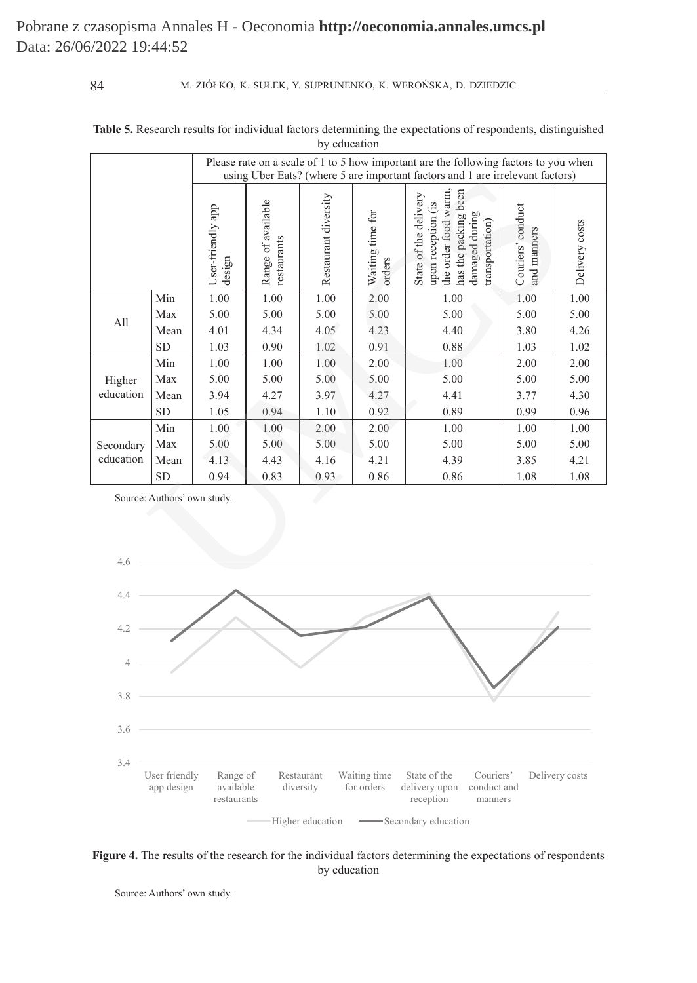|           |                             |                             | Please rate on a scale of 1 to 5 how important are the following factors to you when<br>using Uber Eats? (where 5 are important factors and 1 are irrelevant factors) |                      |                            |                                                                                                                                 |                                  |                |  |  |
|-----------|-----------------------------|-----------------------------|-----------------------------------------------------------------------------------------------------------------------------------------------------------------------|----------------------|----------------------------|---------------------------------------------------------------------------------------------------------------------------------|----------------------------------|----------------|--|--|
|           |                             | User-friendly app<br>design | Range of available<br>restaurants                                                                                                                                     | Restaurant diversity | Waiting time for<br>orders | has the packing been<br>the order food warm<br>State of the delivery<br>upon reception (is<br>damaged during<br>transportation) | Couriers' conduct<br>and manners | Delivery costs |  |  |
|           | Min                         | 1.00                        | 1.00                                                                                                                                                                  | 1.00                 | 2.00                       | 1.00                                                                                                                            | 1.00                             | 1.00           |  |  |
| All       | Max                         | 5.00                        | 5.00                                                                                                                                                                  | 5.00                 | 5.00                       | 5.00                                                                                                                            | 5.00                             | 5.00           |  |  |
|           | Mean                        | 4.01                        | 4.34                                                                                                                                                                  | 4.05                 | 4.23                       | 4.40                                                                                                                            | 3.80                             | 4.26           |  |  |
|           | <b>SD</b>                   | 1.03                        | 0.90                                                                                                                                                                  | 1.02                 | 0.91                       | 0.88                                                                                                                            | 1.03                             | 1.02           |  |  |
|           | Min                         | 1.00                        | 1.00                                                                                                                                                                  | 1.00                 | 2.00                       | 1.00                                                                                                                            | 2.00                             | 2.00           |  |  |
| Higher    | Max                         | 5.00                        | 5.00                                                                                                                                                                  | 5.00                 | 5.00                       | 5.00                                                                                                                            | 5.00                             | 5.00           |  |  |
| education | Mean                        | 3.94                        | 4.27                                                                                                                                                                  | 3.97                 | 4.27                       | 4.41                                                                                                                            | 3.77                             | 4.30           |  |  |
|           | <b>SD</b>                   | 1.05                        | 0.94                                                                                                                                                                  | 1.10                 | 0.92                       | 0.89                                                                                                                            | 0.99                             | 0.96           |  |  |
|           | Min                         | 1.00                        | 1.00                                                                                                                                                                  | 2.00                 | 2.00                       | 1.00                                                                                                                            | 1.00                             | 1.00           |  |  |
| Secondary | Max                         | 5.00                        | 5.00                                                                                                                                                                  | 5.00                 | 5.00                       | 5.00                                                                                                                            | 5.00                             | 5.00           |  |  |
| education | Mean                        | 4.13                        | 4.43                                                                                                                                                                  | 4.16                 | 4.21                       | 4.39                                                                                                                            | 3.85                             | 4.21           |  |  |
|           | <b>SD</b>                   | 0.94                        | 0.83                                                                                                                                                                  | 0.93                 | 0.86                       | 0.86                                                                                                                            | 1.08                             | 1.08           |  |  |
|           | Source: Authors' own study. |                             |                                                                                                                                                                       |                      |                            |                                                                                                                                 |                                  |                |  |  |
| 4.6       |                             |                             |                                                                                                                                                                       |                      |                            |                                                                                                                                 |                                  |                |  |  |
| 44        |                             |                             |                                                                                                                                                                       |                      |                            |                                                                                                                                 |                                  |                |  |  |

| Table 5. Research results for individual factors determining the expectations of respondents, distinguished |  |
|-------------------------------------------------------------------------------------------------------------|--|
| by education                                                                                                |  |



### **Figure 4.** The results of the research for the individual factors determining the expectations of respondents by education

Source: Authors' own study.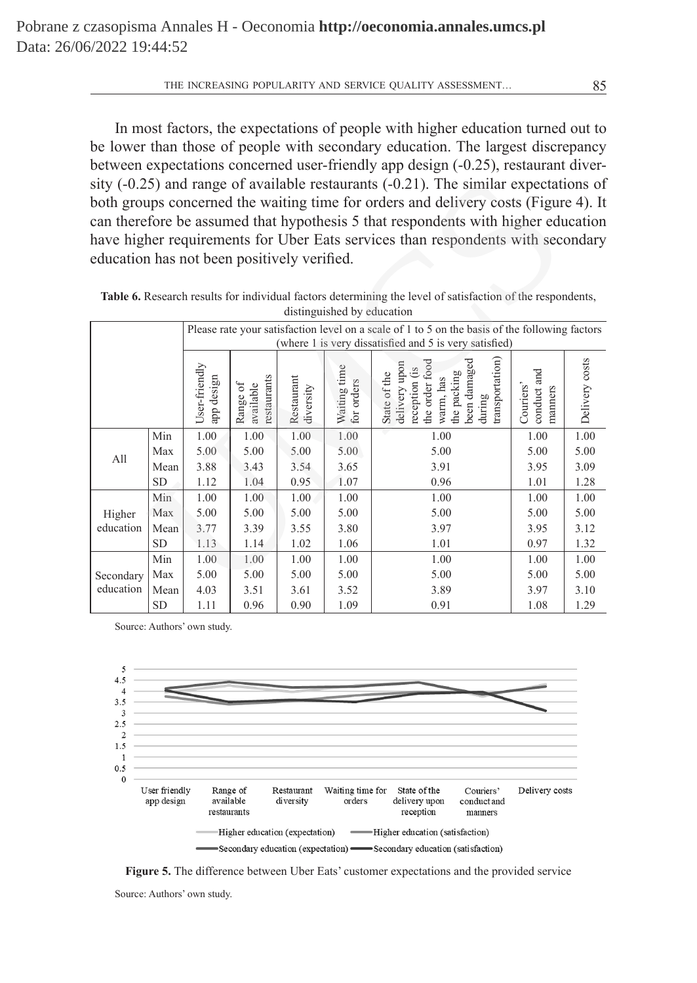In most factors, the expectations of people with higher education turned out to be lower than those of people with secondary education. The largest discrepancy between expectations concerned user-friendly app design (-0.25), restaurant diversity (-0.25) and range of available restaurants (-0.21). The similar expectations of both groups concerned the waiting time for orders and delivery costs (Figure 4). It can therefore be assumed that hypothesis 5 that respondents with higher education have higher requirements for Uber Eats services than respondents with secondary education has not been positively verified.

| education has not been positively verified.                                                                                              |                  |                             |                                      |                         |                            | sity $(-0.25)$ and range of available restaurants $(-0.21)$ . The similar expectations of<br>both groups concerned the waiting time for orders and delivery costs (Figure 4). It<br>can therefore be assumed that hypothesis 5 that respondents with higher education<br>have higher requirements for Uber Eats services than respondents with secondary |                                     |                |  |
|------------------------------------------------------------------------------------------------------------------------------------------|------------------|-----------------------------|--------------------------------------|-------------------------|----------------------------|----------------------------------------------------------------------------------------------------------------------------------------------------------------------------------------------------------------------------------------------------------------------------------------------------------------------------------------------------------|-------------------------------------|----------------|--|
| Table 6. Research results for individual factors determining the level of satisfaction of the respondents,<br>distinguished by education |                  |                             |                                      |                         |                            |                                                                                                                                                                                                                                                                                                                                                          |                                     |                |  |
|                                                                                                                                          |                  |                             |                                      |                         |                            | Please rate your satisfaction level on a scale of 1 to 5 on the basis of the following factors<br>(where 1 is very dissatisfied and 5 is very satisfied)                                                                                                                                                                                                 |                                     |                |  |
|                                                                                                                                          |                  | User-friendly<br>app design | restaurants<br>Range of<br>available | Restaurant<br>diversity | Waiting time<br>for orders | transportation<br>been damaged<br>during<br>the order food<br>State of the<br>delivery upon<br>reception (is<br>the packing<br>warm, has                                                                                                                                                                                                                 | conduct and<br>Couriers'<br>manners | Delivery costs |  |
|                                                                                                                                          | Min              | 1.00                        | 1.00                                 | 1.00                    | 1.00                       | 1.00                                                                                                                                                                                                                                                                                                                                                     | 1.00                                | 1.00           |  |
| All                                                                                                                                      | Max              | 5.00                        | 5.00                                 | 5.00                    | 5.00                       | 5.00                                                                                                                                                                                                                                                                                                                                                     | 5.00                                | 5.00           |  |
|                                                                                                                                          | Mean             | 3.88                        | 3.43                                 | 3.54                    | 3.65                       | 3.91                                                                                                                                                                                                                                                                                                                                                     | 3.95                                | 3.09           |  |
|                                                                                                                                          | <b>SD</b><br>Min | 1.12<br>1.00                | 1.04<br>1.00                         | 0.95<br>1.00            | 1.07<br>1.00               | 0.96<br>1.00                                                                                                                                                                                                                                                                                                                                             | 1.01<br>1.00                        | 1.28<br>1.00   |  |
| Higher                                                                                                                                   | Max              | 5.00                        | 5.00                                 | 5.00                    | 5.00                       | 5.00                                                                                                                                                                                                                                                                                                                                                     | 5.00                                | 5.00           |  |
| education                                                                                                                                | Mean             | 3.77                        | 3.39                                 | 3.55                    | 3.80                       | 3.97                                                                                                                                                                                                                                                                                                                                                     | 3.95                                | 3.12           |  |
|                                                                                                                                          | <b>SD</b>        | 1.13                        | 1.14                                 | 1.02                    | 1.06                       | 1.01                                                                                                                                                                                                                                                                                                                                                     | 0.97                                | 1.32           |  |
|                                                                                                                                          | Min              | 1.00                        | 1.00                                 | 1.00                    | 1.00                       | 1.00                                                                                                                                                                                                                                                                                                                                                     | 1.00                                | 1.00           |  |
| Secondary                                                                                                                                | Max              | 5.00                        | 5.00                                 | 5.00                    | 5.00                       | 5.00                                                                                                                                                                                                                                                                                                                                                     | 5.00                                | 5.00           |  |
| education                                                                                                                                | Mean             | 4.03                        | 3.51                                 | 3.61                    | 3.52                       | 3.89                                                                                                                                                                                                                                                                                                                                                     | 3.97                                | 3.10           |  |
|                                                                                                                                          | <b>SD</b>        | 1.11                        | 0.96                                 | 0.90                    | 1.09                       | 0.91                                                                                                                                                                                                                                                                                                                                                     | 1.08                                | 1.29           |  |

**Table 6.** Research results for individual factors determining the level of satisfaction of the respondents, distinguished by education

Source: Authors' own study.



**Figure 5.** The difference between Uber Eats' customer expectations and the provided service Source: Authors' own study.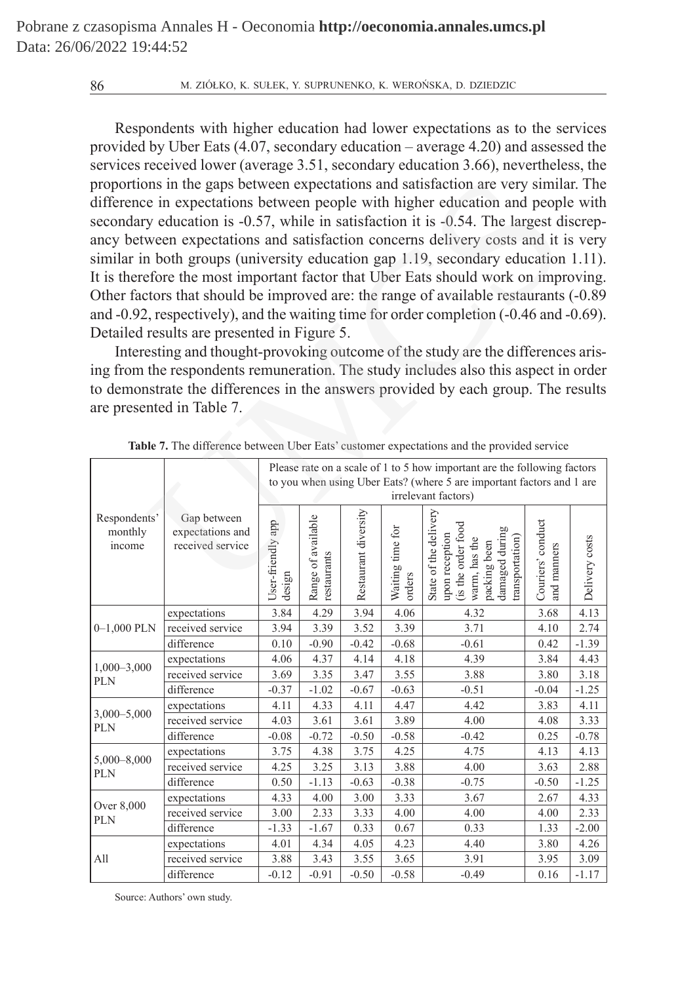Respondents with higher education had lower expectations as to the services provided by Uber Eats (4.07, secondary education – average 4.20) and assessed the services received lower (average 3.51, secondary education 3.66), nevertheless, the proportions in the gaps between expectations and satisfaction are very similar. The difference in expectations between people with higher education and people with secondary education is -0.57, while in satisfaction it is -0.54. The largest discrepancy between expectations and satisfaction concerns delivery costs and it is very similar in both groups (university education gap 1.19, secondary education 1.11). It is therefore the most important factor that Uber Eats should work on improving. Other factors that should be improved are: the range of available restaurants (-0.89 and -0.92, respectively), and the waiting time for order completion (-0.46 and -0.69). Detailed results are presented in Figure 5. ons in the gaps between expectations and satisfaction are very similation in expectations between people with higher education and people y education is -0.57, while in satisfaction it is -0.54. The largest diverse expect

Interesting and thought-provoking outcome of the study are the differences arising from the respondents remuneration. The study includes also this aspect in order to demonstrate the differences in the answers provided by each group. The results are presented in Table 7.

|                                   |                                                     | Please rate on a scale of 1 to 5 how important are the following factors<br>to you when using Uber Eats? (where 5 are important factors and 1 are<br>irrelevant factors) |                                   |                      |                            |                                                                                                                                        |                                  |                |  |
|-----------------------------------|-----------------------------------------------------|--------------------------------------------------------------------------------------------------------------------------------------------------------------------------|-----------------------------------|----------------------|----------------------------|----------------------------------------------------------------------------------------------------------------------------------------|----------------------------------|----------------|--|
| Respondents'<br>monthly<br>income | Gap between<br>expectations and<br>received service | User-friendly app<br>design                                                                                                                                              | Range of available<br>restaurants | Restaurant diversity | Waiting time for<br>orders | State of the delivery<br>(is the order food<br>damaged during<br>upon reception<br>transportation)<br>the<br>packing been<br>warm, has | Couriers' conduct<br>and manners | Delivery costs |  |
|                                   | expectations                                        | 3.84                                                                                                                                                                     | 4.29                              | 3.94                 | 4.06                       | 4.32                                                                                                                                   | 3.68                             | 4.13           |  |
| $0-1,000$ PLN                     | received service                                    | 3.94                                                                                                                                                                     | 3.39                              | 3.52                 | 3.39                       | 3.71                                                                                                                                   | 4.10                             | 2.74           |  |
|                                   | difference                                          | 0.10                                                                                                                                                                     | $-0.90$                           | $-0.42$              | $-0.68$                    | $-0.61$                                                                                                                                | 0.42                             | $-1.39$        |  |
|                                   | expectations                                        | 4.06                                                                                                                                                                     | 4.37                              | 4.14                 | 4.18                       | 4.39                                                                                                                                   | 3.84                             | 4.43           |  |
| $1,000 - 3,000$<br><b>PLN</b>     | received service                                    | 3.69                                                                                                                                                                     | 3.35                              | 3.47                 | 3.55                       | 3.88                                                                                                                                   | 3.80                             | 3.18           |  |
|                                   | difference                                          | $-0.37$                                                                                                                                                                  | $-1.02$                           | $-0.67$              | $-0.63$                    | $-0.51$                                                                                                                                | $-0.04$                          | $-1.25$        |  |
|                                   | expectations                                        | 4.11                                                                                                                                                                     | 4.33                              | 4.11                 | 4.47                       | 4.42                                                                                                                                   | 3.83                             | 4.11           |  |
| 3,000-5,000<br><b>PLN</b>         | received service                                    | 4.03                                                                                                                                                                     | 3.61                              | 3.61                 | 3.89                       | 4.00                                                                                                                                   | 4.08                             | 3.33           |  |
|                                   | difference                                          | $-0.08$                                                                                                                                                                  | $-0.72$                           | $-0.50$              | $-0.58$                    | $-0.42$                                                                                                                                | 0.25                             | $-0.78$        |  |
| $5,000 - 8,000$                   | expectations                                        | 3.75                                                                                                                                                                     | 4.38                              | 3.75                 | 4.25                       | 4.75                                                                                                                                   | 4.13                             | 4.13           |  |
| <b>PLN</b>                        | received service                                    | 4.25                                                                                                                                                                     | 3.25                              | 3.13                 | 3.88                       | 4.00                                                                                                                                   | 3.63                             | 2.88           |  |
|                                   | difference                                          | 0.50                                                                                                                                                                     | $-1.13$                           | $-0.63$              | $-0.38$                    | $-0.75$                                                                                                                                | $-0.50$                          | $-1.25$        |  |
| Over 8,000<br><b>PLN</b>          | expectations                                        | 4.33                                                                                                                                                                     | 4.00                              | 3.00                 | 3.33                       | 3.67                                                                                                                                   | 2.67                             | 4.33           |  |
|                                   | received service                                    | 3.00                                                                                                                                                                     | 2.33                              | 3.33                 | 4.00                       | 4.00                                                                                                                                   | 4.00                             | 2.33           |  |
|                                   | difference                                          | $-1.33$                                                                                                                                                                  | $-1.67$                           | 0.33                 | 0.67                       | 0.33                                                                                                                                   | 1.33                             | $-2.00$        |  |
|                                   | expectations                                        | 4.01                                                                                                                                                                     | 4.34                              | 4.05                 | 4.23                       | 4.40                                                                                                                                   | 3.80                             | 4.26           |  |
| All                               | received service                                    | 3.88                                                                                                                                                                     | 3.43                              | 3.55                 | 3.65                       | 3.91                                                                                                                                   | 3.95                             | 3.09           |  |
|                                   | difference                                          | $-0.12$                                                                                                                                                                  | $-0.91$                           | $-0.50$              | $-0.58$                    | $-0.49$                                                                                                                                | 0.16                             | $-1.17$        |  |

**Table 7.** The difference between Uber Eats' customer expectations and the provided service

Source: Authors' own study.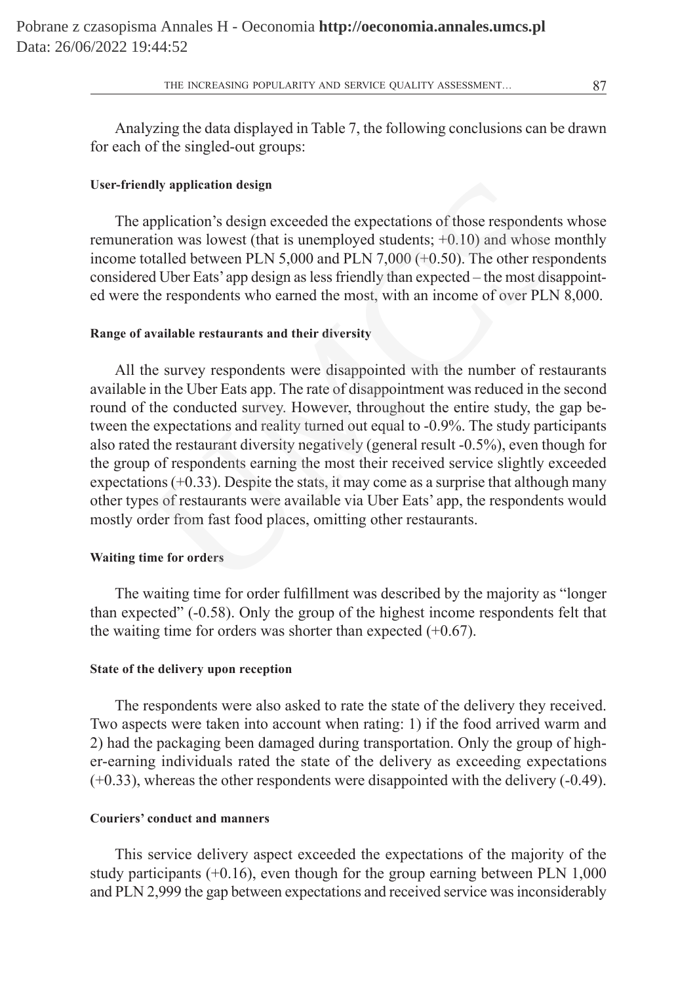Analyzing the data displayed in Table 7, the following conclusions can be drawn for each of the singled-out groups:

# **User-friendly application design**

The application's design exceeded the expectations of those respondents whose remuneration was lowest (that is unemployed students;  $+0.10$ ) and whose monthly income totalled between PLN 5,000 and PLN 7,000 (+0.50). The other respondents considered Uber Eats' app design as less friendly than expected – the most disappointed were the respondents who earned the most, with an income of over PLN 8,000.

# **Range of available restaurants and their diversity**

All the survey respondents were disappointed with the number of restaurants available in the Uber Eats app. The rate of disappointment was reduced in the second round of the conducted survey. However, throughout the entire study, the gap between the expectations and reality turned out equal to -0.9%. The study participants also rated the restaurant diversity negatively (general result -0.5%), even though for the group of respondents earning the most their received service slightly exceeded expectations  $(+0.33)$ . Despite the stats, it may come as a surprise that although many other types of restaurants were available via Uber Eats' app, the respondents would mostly order from fast food places, omitting other restaurants. adly application design<br>application's design exceeded the expectations of those respondents<br>attion was lowest (that is unemployed students; +0.10) and whose m<br>otalled between PLN 5,000 and PLN 7,000 (+0.50). The other resp

# **Waiting time for orders**

The waiting time for order fulfillment was described by the majority as "longer than expected" (-0.58). Only the group of the highest income respondents felt that the waiting time for orders was shorter than expected  $(+0.67)$ .

# **State of the delivery upon reception**

The respondents were also asked to rate the state of the delivery they received. Two aspects were taken into account when rating: 1) if the food arrived warm and 2) had the packaging been damaged during transportation. Only the group of higher-earning individuals rated the state of the delivery as exceeding expectations (+0.33), whereas the other respondents were disappointed with the delivery (-0.49).

# **Couriers' conduct and manners**

This service delivery aspect exceeded the expectations of the majority of the study participants  $(+0.16)$ , even though for the group earning between PLN 1,000 and PLN 2,999 the gap between expectations and received service was inconsiderably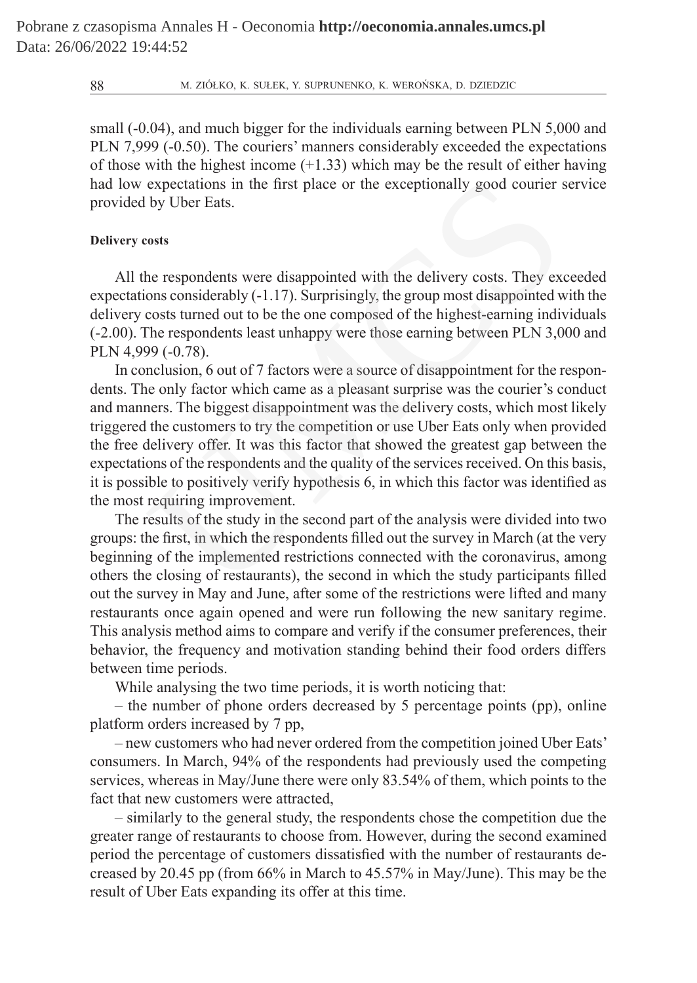small (-0.04), and much bigger for the individuals earning between PLN 5,000 and PLN 7,999 (-0.50). The couriers' manners considerably exceeded the expectations of those with the highest income  $(+1.33)$  which may be the result of either having had low expectations in the first place or the exceptionally good courier service provided by Uber Eats.

## **Delivery costs**

All the respondents were disappointed with the delivery costs. They exceeded expectations considerably (-1.17). Surprisingly, the group most disappointed with the delivery costs turned out to be the one composed of the highest-earning individuals (-2.00). The respondents least unhappy were those earning between PLN 3,000 and PLN 4,999 (-0.78).

In conclusion, 6 out of 7 factors were a source of disappointment for the respondents. The only factor which came as a pleasant surprise was the courier's conduct and manners. The biggest disappointment was the delivery costs, which most likely triggered the customers to try the competition or use Uber Eats only when provided the free delivery offer. It was this factor that showed the greatest gap between the expectations of the respondents and the quality of the services received. On this basis, it is possible to positively verify hypothesis 6, in which this factor was identified as the most requiring improvement. expectations in the first place or the exceptionally good courier s<br>by Uber Eats.<br>costs<br>costs<br>costs<br>the respondents were disappointed with the delivery costs. They ex<br>ons considerably (-1.17). Surprisingly, the group most

The results of the study in the second part of the analysis were divided into two groups: the first, in which the respondents filled out the survey in March (at the very beginning of the implemented restrictions connected with the coronavirus, among others the closing of restaurants), the second in which the study participants filled out the survey in May and June, after some of the restrictions were lifted and many restaurants once again opened and were run following the new sanitary regime. This analysis method aims to compare and verify if the consumer preferences, their behavior, the frequency and motivation standing behind their food orders differs between time periods.

While analysing the two time periods, it is worth noticing that:

– the number of phone orders decreased by 5 percentage points (pp), online platform orders increased by 7 pp,

– new customers who had never ordered from the competition joined Uber Eats' consumers. In March, 94% of the respondents had previously used the competing services, whereas in May/June there were only 83.54% of them, which points to the fact that new customers were attracted,

– similarly to the general study, the respondents chose the competition due the greater range of restaurants to choose from. However, during the second examined period the percentage of customers dissatisfied with the number of restaurants decreased by 20.45 pp (from 66% in March to 45.57% in May/June). This may be the result of Uber Eats expanding its offer at this time.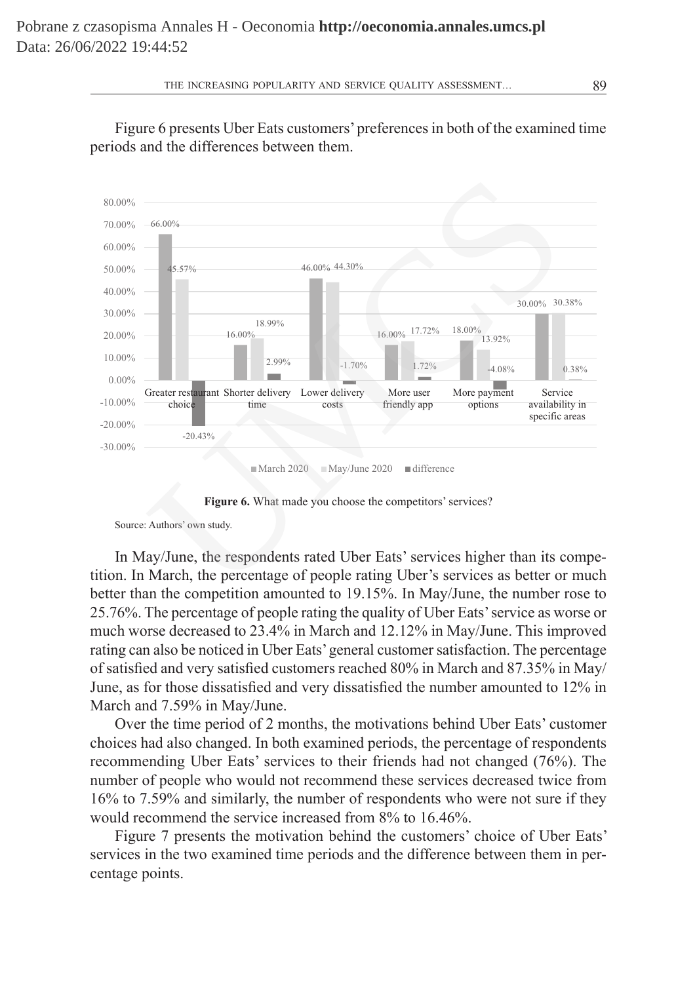

Figure 6 presents Uber Eats customers' preferences in both of the examined time periods and the differences between them.

 $March 2020$  May/June 2020 difference

**Figure 6.** What made you choose the competitors' services?

Source: Authors' own study.

In May/June, the respondents rated Uber Eats' services higher than its competition. In March, the percentage of people rating Uber's services as better or much better than the competition amounted to 19.15%. In May/June, the number rose to 25.76%. The percentage of people rating the quality of Uber Eats' service as worse or much worse decreased to 23.4% in March and 12.12% in May/June. This improved rating can also be noticed in Uber Eats' general customer satisfaction. The percentage of satisfied and very satisfied customers reached 80% in March and 87.35% in May/ June, as for those dissatisfied and very dissatisfied the number amounted to 12% in March and 7.59% in May/June.

Over the time period of 2 months, the motivations behind Uber Eats' customer choices had also changed. In both examined periods, the percentage of respondents recommending Uber Eats' services to their friends had not changed (76%). The number of people who would not recommend these services decreased twice from 16% to 7.59% and similarly, the number of respondents who were not sure if they would recommend the service increased from 8% to 16.46%.

Figure 7 presents the motivation behind the customers' choice of Uber Eats' services in the two examined time periods and the difference between them in percentage points.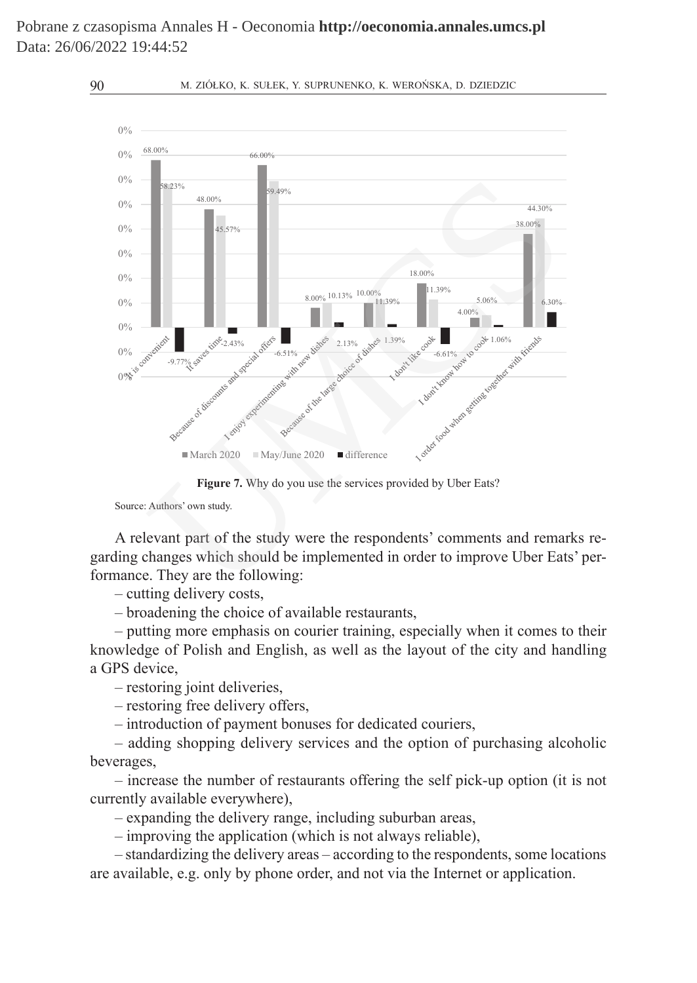Pobrane z czasopisma Annales H - Oeconomia **http://oeconomia.annales.umcs.pl** Data: 26/06/2022 19:44:52



Figure 7. Why do you use the services provided by Uber Eats?

Source: Authors' own study.

A relevant part of the study were the respondents' comments and remarks regarding changes which should be implemented in order to improve Uber Eats' performance. They are the following:

– cutting delivery costs,

– broadening the choice of available restaurants,

– putting more emphasis on courier training, especially when it comes to their knowledge of Polish and English, as well as the layout of the city and handling a GPS device,

– restoring joint deliveries,

– restoring free delivery offers,

– introduction of payment bonuses for dedicated couriers,

– adding shopping delivery services and the option of purchasing alcoholic beverages,

– increase the number of restaurants offering the self pick-up option (it is not currently available everywhere),

– expanding the delivery range, including suburban areas,

– improving the application (which is not always reliable),

– standardizing the delivery areas – according to the respondents, some locations are available, e.g. only by phone order, and not via the Internet or application.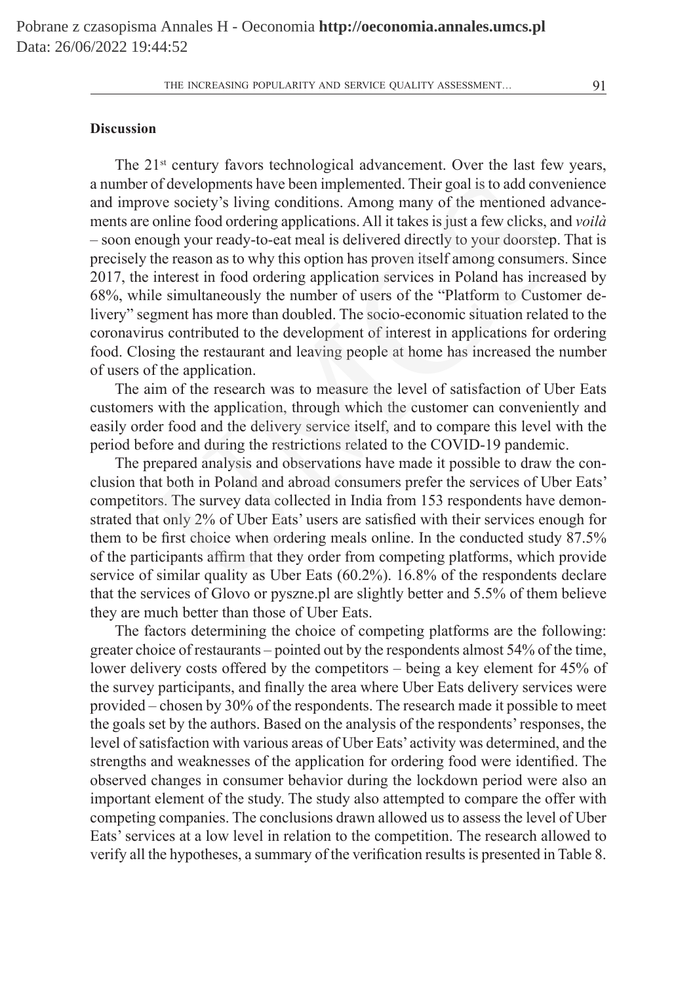## **Discussion**

The 21<sup>st</sup> century favors technological advancement. Over the last few years, a number of developments have been implemented. Their goal is to add convenience and improve society's living conditions. Among many of the mentioned advancements are online food ordering applications. All it takes is just a few clicks, and *voilà* – soon enough your ready-to-eat meal is delivered directly to your doorstep. That is precisely the reason as to why this option has proven itself among consumers. Since 2017, the interest in food ordering application services in Poland has increased by 68%, while simultaneously the number of users of the "Platform to Customer delivery" segment has more than doubled. The socio-economic situation related to the coronavirus contributed to the development of interest in applications for ordering food. Closing the restaurant and leaving people at home has increased the number of users of the application. r of developments have been implemented. Their goal is to add conve<br>cove society's living conditions. Among many of the mentioned ad<br>e online food ordering applications. All it takes is just a few clicks, an<br>ough your read

The aim of the research was to measure the level of satisfaction of Uber Eats customers with the application, through which the customer can conveniently and easily order food and the delivery service itself, and to compare this level with the period before and during the restrictions related to the COVID-19 pandemic.

The prepared analysis and observations have made it possible to draw the conclusion that both in Poland and abroad consumers prefer the services of Uber Eats' competitors. The survey data collected in India from 153 respondents have demonstrated that only 2% of Uber Eats' users are satisfied with their services enough for them to be first choice when ordering meals online. In the conducted study 87.5% of the participants affirm that they order from competing platforms, which provide service of similar quality as Uber Eats (60.2%). 16.8% of the respondents declare that the services of Glovo or pyszne.pl are slightly better and 5.5% of them believe they are much better than those of Uber Eats.

The factors determining the choice of competing platforms are the following: greater choice of restaurants – pointed out by the respondents almost 54% of the time, lower delivery costs offered by the competitors – being a key element for 45% of the survey participants, and finally the area where Uber Eats delivery services were provided – chosen by 30% of the respondents. The research made it possible to meet the goals set by the authors. Based on the analysis of the respondents' responses, the level of satisfaction with various areas of Uber Eats' activity was determined, and the strengths and weaknesses of the application for ordering food were identified. The observed changes in consumer behavior during the lockdown period were also an important element of the study. The study also attempted to compare the offer with competing companies. The conclusions drawn allowed us to assess the level of Uber Eats' services at a low level in relation to the competition. The research allowed to verify all the hypotheses, a summary of the verification results is presented in Table 8.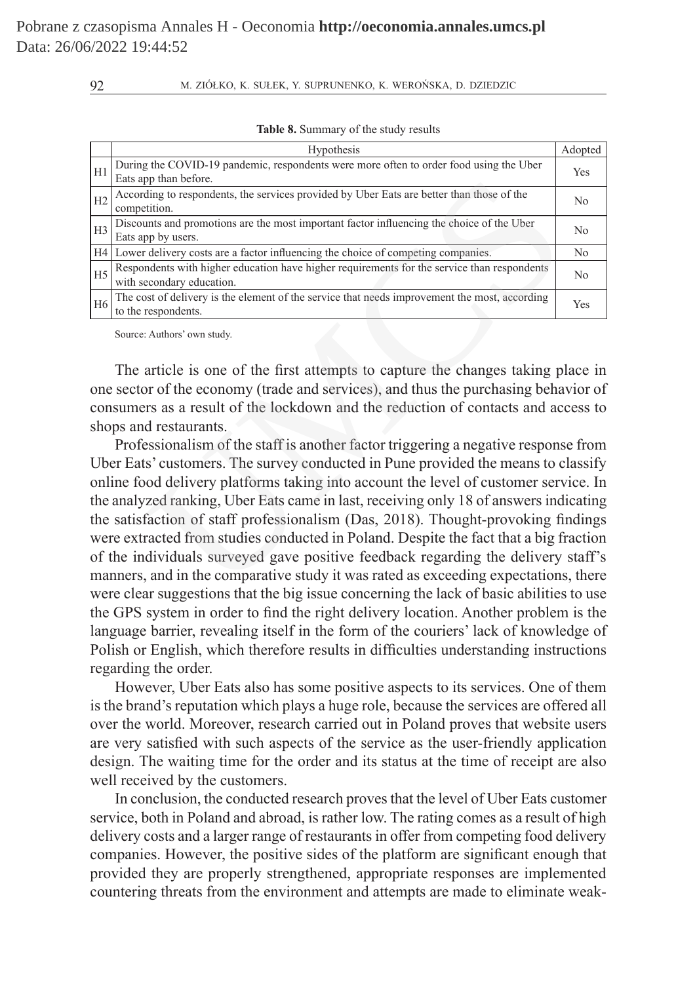|                | Hypothesis                                                                                                               | Adopted |
|----------------|--------------------------------------------------------------------------------------------------------------------------|---------|
| H1             | During the COVID-19 pandemic, respondents were more often to order food using the Uber<br>Eats app than before.          | Yes     |
| H <sub>2</sub> | According to respondents, the services provided by Uber Eats are better than those of the<br>competition.                | No      |
| H3             | Discounts and promotions are the most important factor influencing the choice of the Uber<br>Eats app by users.          | No      |
| H4             | Lower delivery costs are a factor influencing the choice of competing companies.                                         | No      |
| H5             | Respondents with higher education have higher requirements for the service than respondents<br>with secondary education. | No      |
| H <sub>6</sub> | The cost of delivery is the element of the service that needs improvement the most, according<br>to the respondents.     | Yes     |

|  |  | Table 8. Summary of the study results |  |  |  |
|--|--|---------------------------------------|--|--|--|
|--|--|---------------------------------------|--|--|--|

Source: Authors' own study.

The article is one of the first attempts to capture the changes taking place in one sector of the economy (trade and services), and thus the purchasing behavior of consumers as a result of the lockdown and the reduction of contacts and access to shops and restaurants.

Professionalism of the staff is another factor triggering a negative response from Uber Eats' customers. The survey conducted in Pune provided the means to classify online food delivery platforms taking into account the level of customer service. In the analyzed ranking, Uber Eats came in last, receiving only 18 of answers indicating the satisfaction of staff professionalism (Das, 2018). Thought-provoking findings were extracted from studies conducted in Poland. Despite the fact that a big fraction of the individuals surveyed gave positive feedback regarding the delivery staff's manners, and in the comparative study it was rated as exceeding expectations, there were clear suggestions that the big issue concerning the lack of basic abilities to use the GPS system in order to find the right delivery location. Another problem is the language barrier, revealing itself in the form of the couriers' lack of knowledge of Polish or English, which therefore results in difficulties understanding instructions regarding the order. pp than before.<br>
Didng to respondents, the services provided by Uber Eats are better than those of the<br>
utinon.<br>
Intins and promotions are the most important factor influencing the choice of the Uber<br>
lition.<br>
Didny wests.

However, Uber Eats also has some positive aspects to its services. One of them is the brand's reputation which plays a huge role, because the services are offered all over the world. Moreover, research carried out in Poland proves that website users are very satisfied with such aspects of the service as the user-friendly application design. The waiting time for the order and its status at the time of receipt are also well received by the customers.

In conclusion, the conducted research proves that the level of Uber Eats customer service, both in Poland and abroad, is rather low. The rating comes as a result of high delivery costs and a larger range of restaurants in offer from competing food delivery companies. However, the positive sides of the platform are significant enough that provided they are properly strengthened, appropriate responses are implemented countering threats from the environment and attempts are made to eliminate weak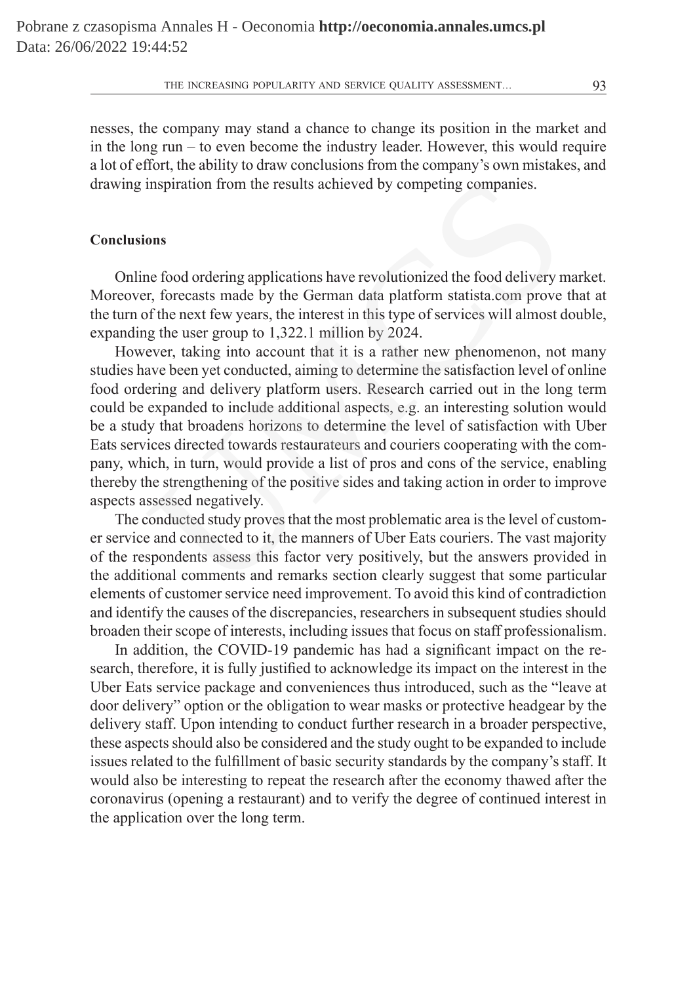nesses, the company may stand a chance to change its position in the market and in the long run – to even become the industry leader. However, this would require a lot of effort, the ability to draw conclusions from the company's own mistakes, and drawing inspiration from the results achieved by competing companies.

# **Conclusions**

Online food ordering applications have revolutionized the food delivery market. Moreover, forecasts made by the German data platform statista.com prove that at the turn of the next few years, the interest in this type of services will almost double, expanding the user group to 1,322.1 million by 2024.

However, taking into account that it is a rather new phenomenon, not many studies have been yet conducted, aiming to determine the satisfaction level of online food ordering and delivery platform users. Research carried out in the long term could be expanded to include additional aspects, e.g. an interesting solution would be a study that broadens horizons to determine the level of satisfaction with Uber Eats services directed towards restaurateurs and couriers cooperating with the company, which, in turn, would provide a list of pros and cons of the service, enabling thereby the strengthening of the positive sides and taking action in order to improve aspects assessed negatively. UMCS

The conducted study proves that the most problematic area is the level of customer service and connected to it, the manners of Uber Eats couriers. The vast majority of the respondents assess this factor very positively, but the answers provided in the additional comments and remarks section clearly suggest that some particular elements of customer service need improvement. To avoid this kind of contradiction and identify the causes of the discrepancies, researchers in subsequent studies should broaden their scope of interests, including issues that focus on staff professionalism.

In addition, the COVID-19 pandemic has had a significant impact on the research, therefore, it is fully justified to acknowledge its impact on the interest in the Uber Eats service package and conveniences thus introduced, such as the "leave at door delivery" option or the obligation to wear masks or protective headgear by the delivery staff. Upon intending to conduct further research in a broader perspective, these aspects should also be considered and the study ought to be expanded to include issues related to the fulfillment of basic security standards by the company's staff. It would also be interesting to repeat the research after the economy thawed after the coronavirus (opening a restaurant) and to verify the degree of continued interest in the application over the long term.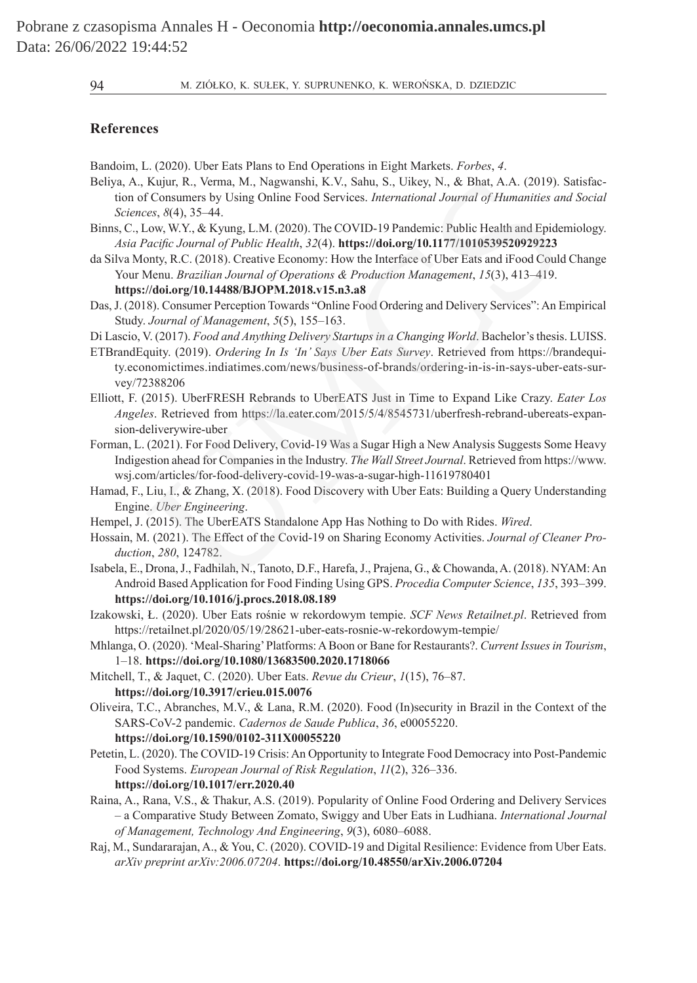## **References**

Bandoim, L. (2020). Uber Eats Plans to End Operations in Eight Markets. *Forbes*, *4*.

- Beliya, A., Kujur, R., Verma, M., Nagwanshi, K.V., Sahu, S., Uikey, N., & Bhat, A.A. (2019). Satisfaction of Consumers by Using Online Food Services. *International Journal of Humanities and Social Sciences*, *8*(4), 35–44. Kujur, R., Verma, M., Nagwanshi, K.V., Sahu, S., Uikey, N., & Bhat, A.A. (2019).<br>
f Consumers by Using Online Food Services. *International Journal of Humanities an*<br>  $cos, 8(4)$ ,  $35-44$ .<br>  $cos^2, 8(4)$ ,  $35-4$ ,<br>  $cos^2, 8(4)$ ,
- Binns, C., Low, W.Y., & Kyung, L.M. (2020). The COVID-19 Pandemic: Public Health and Epidemiology. *Asia Pacific Journal of Public Health*, *32*(4). **https://doi.org/10.1177/1010539520929223**
- da Silva Monty, R.C. (2018). Creative Economy: How the Interface of Uber Eats and iFood Could Change Your Menu. *Brazilian Journal of Operations & Production Management*, *15*(3), 413–419. **https://doi.org/10.14488/BJOPM.2018.v15.n3.a8**

Das, J. (2018). Consumer Perception Towards "Online Food Ordering and Delivery Services": An Empirical Study. *Journal of Management*, *5*(5), 155–163.

Di Lascio, V. (2017). *Food and Anything Delivery Startups in a Changing World*. Bachelor's thesis. LUISS.

- ETBrandEquity. (2019). *Ordering In Is 'In' Says Uber Eats Survey*. Retrieved from https://brandequity.economictimes.indiatimes.com/news/business-of-brands/ordering-in-is-in-says-uber-eats-survey/72388206
- Elliott, F. (2015). UberFRESH Rebrands to UberEATS Just in Time to Expand Like Crazy. *Eater Los Angeles*. Retrieved from https://la.eater.com/2015/5/4/8545731/uberfresh-rebrand-ubereats-expansion-deliverywire-uber
- Forman, L. (2021). For Food Delivery, Covid-19 Was a Sugar High a New Analysis Suggests Some Heavy Indigestion ahead for Companies in the Industry. *The Wall Street Journal*. Retrieved from https://www. wsj.com/articles/for-food-delivery-covid-19-was-a-sugar-high-11619780401
- Hamad, F., Liu, I., & Zhang, X. (2018). Food Discovery with Uber Eats: Building a Query Understanding Engine. *Uber Engineering*.
- Hempel, J. (2015). The UberEATS Standalone App Has Nothing to Do with Rides. *Wired*.
- Hossain, M. (2021). The Effect of the Covid-19 on Sharing Economy Activities. *Journal of Cleaner Production*, *280*, 124782.
- Isabela, E., Drona, J., Fadhilah, N., Tanoto, D.F., Harefa, J., Prajena, G., & Chowanda, A. (2018). NYAM: An Android Based Application for Food Finding Using GPS. *Procedia Computer Science*, *135*, 393–399. **https://doi.org/10.1016/j.procs.2018.08.189**
- Izakowski, Ł. (2020). Uber Eats rośnie w rekordowym tempie. *SCF News Retailnet.pl*. Retrieved from https://retailnet.pl/2020/05/19/28621-uber-eats-rosnie-w-rekordowym-tempie/
- Mhlanga, O. (2020). 'Meal-Sharing' Platforms: ABoon or Bane for Restaurants?. *Current Issues in Tourism*, 1–18. **https://doi.org/10.1080/13683500.2020.1718066**
- Mitchell, T., & Jaquet, C. (2020). Uber Eats. *Revue du Crieur*, *1*(15), 76–87. **https://doi.org/10.3917/crieu.015.0076**
- Oliveira, T.C., Abranches, M.V., & Lana, R.M. (2020). Food (In)security in Brazil in the Context of the SARS-CoV-2 pandemic. *Cadernos de Saude Publica*, *36*, e00055220. **https://doi.org/10.1590/0102-311X00055220**
- Petetin, L. (2020). The COVID-19 Crisis: An Opportunity to Integrate Food Democracy into Post-Pandemic Food Systems. *European Journal of Risk Regulation*, *11*(2), 326–336. **https://doi.org/10.1017/err.2020.40**
- Raina, A., Rana, V.S., & Thakur, A.S. (2019). Popularity of Online Food Ordering and Delivery Services – a Comparative Study Between Zomato, Swiggy and Uber Eats in Ludhiana. *International Journal of Management, Technology And Engineering*, *9*(3), 6080–6088.
- Raj, M., Sundararajan, A., & You, C. (2020). COVID-19 and Digital Resilience: Evidence from Uber Eats. *arXiv preprint arXiv:2006.07204*. **https://doi.org/10.48550/arXiv.2006.07204**